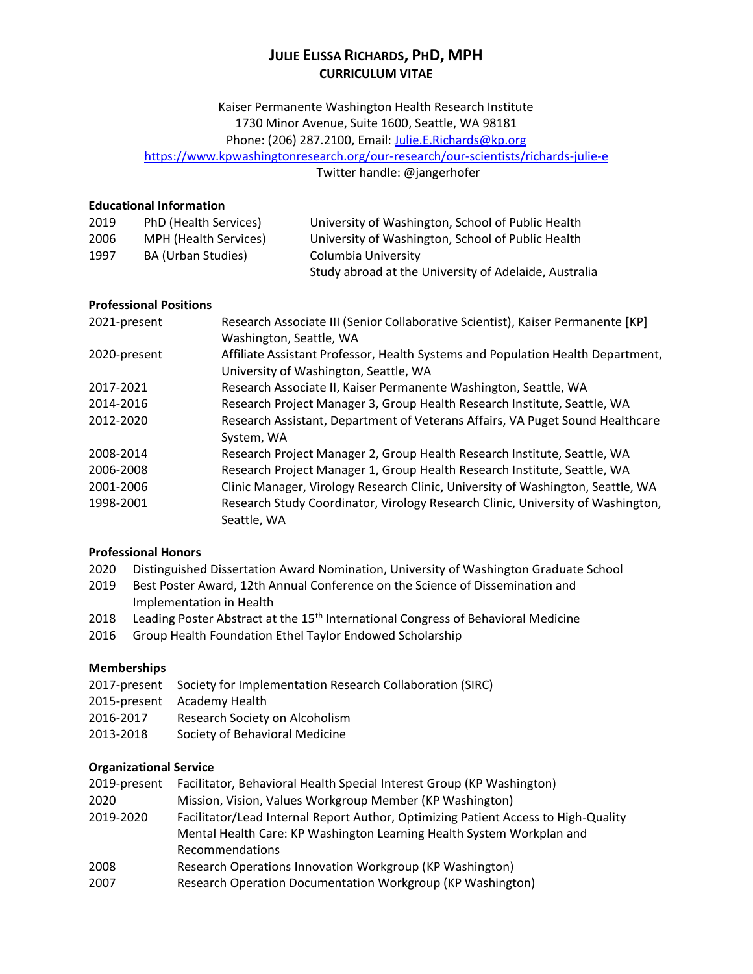# **JULIE ELISSA RICHARDS, PHD, MPH CURRICULUM VITAE**

Kaiser Permanente Washington Health Research Institute 1730 Minor Avenue, Suite 1600, Seattle, WA 98181 Phone: (206) 287.2100, Email: [Julie.E.Richards@kp.org](mailto:Julie.E.Richards@kp.org) <https://www.kpwashingtonresearch.org/our-research/our-scientists/richards-julie-e>

Twitter handle: @jangerhofer

### **Educational Information**

| 2019 | PhD (Health Services) | University of Washington, School of Public Health     |
|------|-----------------------|-------------------------------------------------------|
| 2006 | MPH (Health Services) | University of Washington, School of Public Health     |
| 1997 | BA (Urban Studies)    | Columbia University                                   |
|      |                       | Study abroad at the University of Adelaide, Australia |

#### **Professional Positions**

| 2021-present | Research Associate III (Senior Collaborative Scientist), Kaiser Permanente [KP] |
|--------------|---------------------------------------------------------------------------------|
|              | Washington, Seattle, WA                                                         |
| 2020-present | Affiliate Assistant Professor, Health Systems and Population Health Department, |
|              | University of Washington, Seattle, WA                                           |
| 2017-2021    | Research Associate II, Kaiser Permanente Washington, Seattle, WA                |
| 2014-2016    | Research Project Manager 3, Group Health Research Institute, Seattle, WA        |
| 2012-2020    | Research Assistant, Department of Veterans Affairs, VA Puget Sound Healthcare   |
|              | System, WA                                                                      |
| 2008-2014    | Research Project Manager 2, Group Health Research Institute, Seattle, WA        |
| 2006-2008    | Research Project Manager 1, Group Health Research Institute, Seattle, WA        |
| 2001-2006    | Clinic Manager, Virology Research Clinic, University of Washington, Seattle, WA |
| 1998-2001    | Research Study Coordinator, Virology Research Clinic, University of Washington, |
|              | Seattle, WA                                                                     |

#### **Professional Honors**

- 2020 Distinguished Dissertation Award Nomination, University of Washington Graduate School
- 2019 Best Poster Award, 12th Annual Conference on the Science of Dissemination and Implementation in Health
- 2018 Leading Poster Abstract at the 15<sup>th</sup> International Congress of Behavioral Medicine
- 2016 Group Health Foundation Ethel Taylor Endowed Scholarship

#### **Memberships**

|           | 2017-present Society for Implementation Research Collaboration (SIRC) |
|-----------|-----------------------------------------------------------------------|
|           | 2015-present Academy Health                                           |
| 2016-2017 | Research Society on Alcoholism                                        |
| onne crne | Cociaty of Rahavioral Modicino                                        |

#### 2013-2018 Society of Behavioral Medicine

#### **Organizational Service**

| 2019-present | Facilitator, Behavioral Health Special Interest Group (KP Washington)              |
|--------------|------------------------------------------------------------------------------------|
| 2020         | Mission, Vision, Values Workgroup Member (KP Washington)                           |
| 2019-2020    | Facilitator/Lead Internal Report Author, Optimizing Patient Access to High-Quality |
|              | Mental Health Care: KP Washington Learning Health System Workplan and              |
|              | Recommendations                                                                    |
| 2008         | Research Operations Innovation Workgroup (KP Washington)                           |
| 2007         | Research Operation Documentation Workgroup (KP Washington)                         |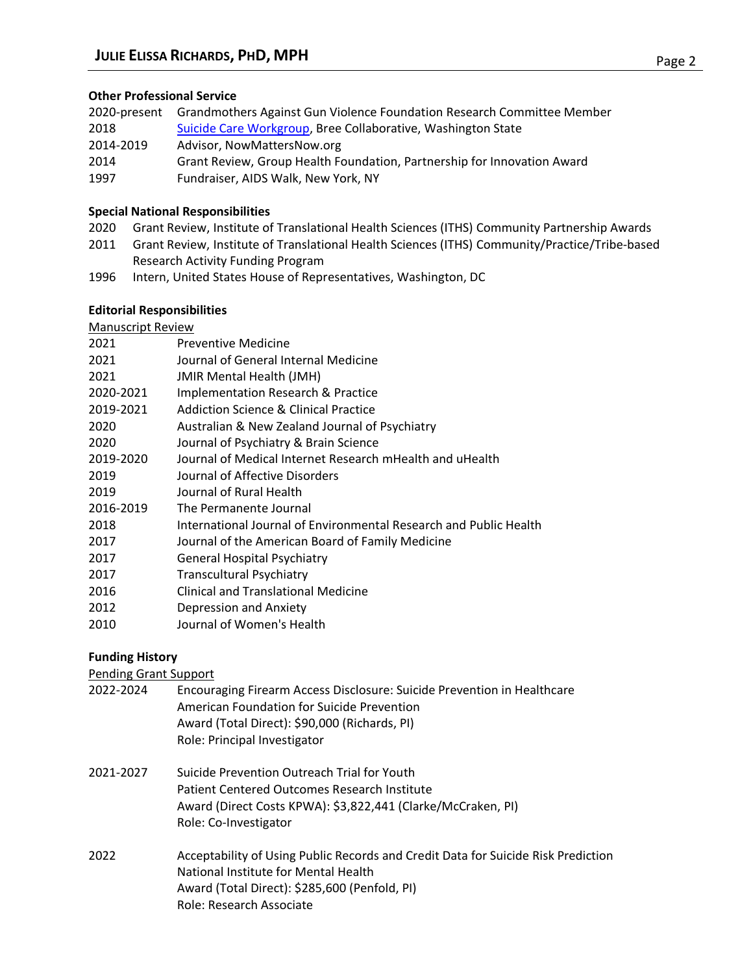### **Other Professional Service**

| 2020-present | Grandmothers Against Gun Violence Foundation Research Committee Member  |
|--------------|-------------------------------------------------------------------------|
| 2018         | Suicide Care Workgroup, Bree Collaborative, Washington State            |
| 2014-2019    | Advisor, NowMattersNow.org                                              |
| 2014         | Grant Review, Group Health Foundation, Partnership for Innovation Award |
| 1997         | Fundraiser, AIDS Walk, New York, NY                                     |

### **Special National Responsibilities**

- 2020 Grant Review, Institute of Translational Health Sciences (ITHS) Community Partnership Awards
- 2011 Grant Review, Institute of Translational Health Sciences (ITHS) Community/Practice/Tribe-based Research Activity Funding Program
- 1996 Intern, United States House of Representatives, Washington, DC

### **Editorial Responsibilities**

# Manuscript Review

| 2021      | Preventive Medicine                                               |
|-----------|-------------------------------------------------------------------|
| 2021      | Journal of General Internal Medicine                              |
| 2021      | <b>JMIR Mental Health (JMH)</b>                                   |
| 2020-2021 | Implementation Research & Practice                                |
| 2019-2021 | <b>Addiction Science &amp; Clinical Practice</b>                  |
| 2020      | Australian & New Zealand Journal of Psychiatry                    |
| 2020      | Journal of Psychiatry & Brain Science                             |
| 2019-2020 | Journal of Medical Internet Research mHealth and uHealth          |
| 2019      | Journal of Affective Disorders                                    |
| 2019      | Journal of Rural Health                                           |
| 2016-2019 | The Permanente Journal                                            |
| 2018      | International Journal of Environmental Research and Public Health |
| 2017      | Journal of the American Board of Family Medicine                  |
| 2017      | <b>General Hospital Psychiatry</b>                                |
| 2017      | <b>Transcultural Psychiatry</b>                                   |
| 2016      | <b>Clinical and Translational Medicine</b>                        |
| 2012      | Depression and Anxiety                                            |
| 2010      | Journal of Women's Health                                         |
|           |                                                                   |

# **Funding History**

# Pending Grant Support

| 2022-2024 | Encouraging Firearm Access Disclosure: Suicide Prevention in Healthcare |
|-----------|-------------------------------------------------------------------------|
|           | American Foundation for Suicide Prevention                              |
|           | Award (Total Direct): \$90,000 (Richards, PI)                           |
|           | Role: Principal Investigator                                            |
|           |                                                                         |

- 2021-2027 Suicide Prevention Outreach Trial for Youth Patient Centered Outcomes Research Institute Award (Direct Costs KPWA): \$3,822,441 (Clarke/McCraken, PI) Role: Co-Investigator
- 2022 Acceptability of Using Public Records and Credit Data for Suicide Risk Prediction National Institute for Mental Health Award (Total Direct): \$285,600 (Penfold, PI) Role: Research Associate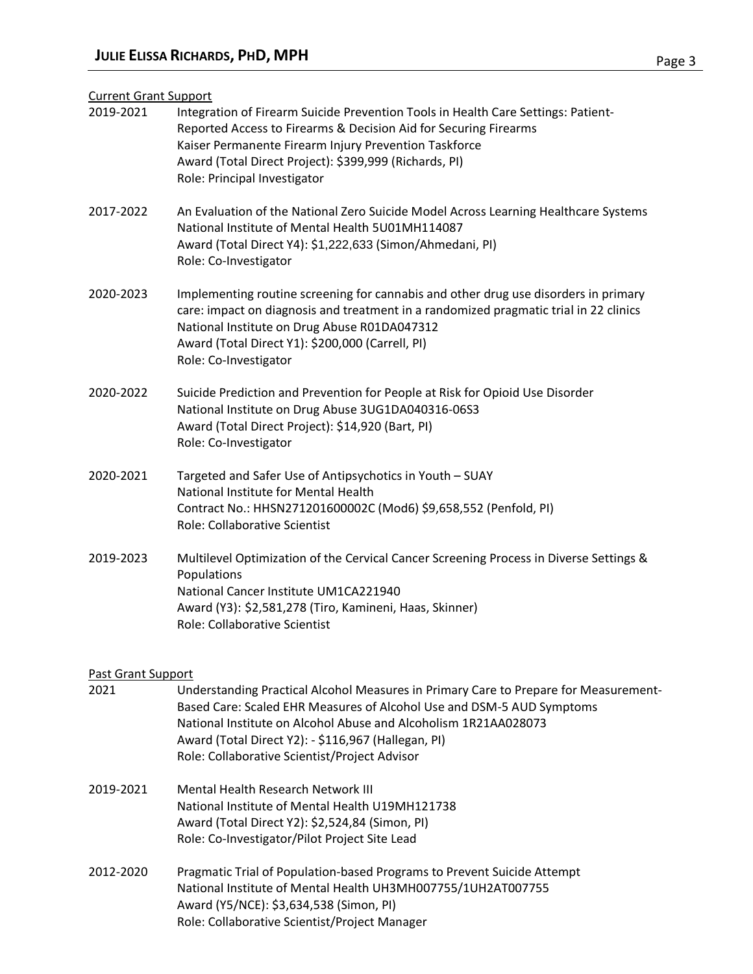#### Current Grant Support

| 2019-2021                 | Integration of Firearm Suicide Prevention Tools in Health Care Settings: Patient-<br>Reported Access to Firearms & Decision Aid for Securing Firearms<br>Kaiser Permanente Firearm Injury Prevention Taskforce<br>Award (Total Direct Project): \$399,999 (Richards, PI)<br>Role: Principal Investigator                                 |
|---------------------------|------------------------------------------------------------------------------------------------------------------------------------------------------------------------------------------------------------------------------------------------------------------------------------------------------------------------------------------|
| 2017-2022                 | An Evaluation of the National Zero Suicide Model Across Learning Healthcare Systems<br>National Institute of Mental Health 5U01MH114087<br>Award (Total Direct Y4): \$1,222,633 (Simon/Ahmedani, PI)<br>Role: Co-Investigator                                                                                                            |
| 2020-2023                 | Implementing routine screening for cannabis and other drug use disorders in primary<br>care: impact on diagnosis and treatment in a randomized pragmatic trial in 22 clinics<br>National Institute on Drug Abuse R01DA047312<br>Award (Total Direct Y1): \$200,000 (Carrell, PI)<br>Role: Co-Investigator                                |
| 2020-2022                 | Suicide Prediction and Prevention for People at Risk for Opioid Use Disorder<br>National Institute on Drug Abuse 3UG1DA040316-06S3<br>Award (Total Direct Project): \$14,920 (Bart, PI)<br>Role: Co-Investigator                                                                                                                         |
| 2020-2021                 | Targeted and Safer Use of Antipsychotics in Youth - SUAY<br>National Institute for Mental Health<br>Contract No.: HHSN271201600002C (Mod6) \$9,658,552 (Penfold, PI)<br>Role: Collaborative Scientist                                                                                                                                    |
| 2019-2023                 | Multilevel Optimization of the Cervical Cancer Screening Process in Diverse Settings &<br>Populations<br>National Cancer Institute UM1CA221940<br>Award (Y3): \$2,581,278 (Tiro, Kamineni, Haas, Skinner)<br>Role: Collaborative Scientist                                                                                               |
| <b>Past Grant Support</b> |                                                                                                                                                                                                                                                                                                                                          |
| 2021                      | Understanding Practical Alcohol Measures in Primary Care to Prepare for Measurement-<br>Based Care: Scaled EHR Measures of Alcohol Use and DSM-5 AUD Symptoms<br>National Institute on Alcohol Abuse and Alcoholism 1R21AA028073<br>Award (Total Direct Y2): - \$116,967 (Hallegan, PI)<br>Role: Collaborative Scientist/Project Advisor |
| 2019-2021                 | Mental Health Research Network III<br>National Institute of Mental Health U19MH121738<br>Award (Total Direct Y2): \$2,524,84 (Simon, PI)<br>Role: Co-Investigator/Pilot Project Site Lead                                                                                                                                                |

2012-2020 Pragmatic Trial of Population-based Programs to Prevent Suicide Attempt National Institute of Mental Health UH3MH007755/1UH2AT007755 Award (Y5/NCE): \$3,634,538 (Simon, PI) Role: Collaborative Scientist/Project Manager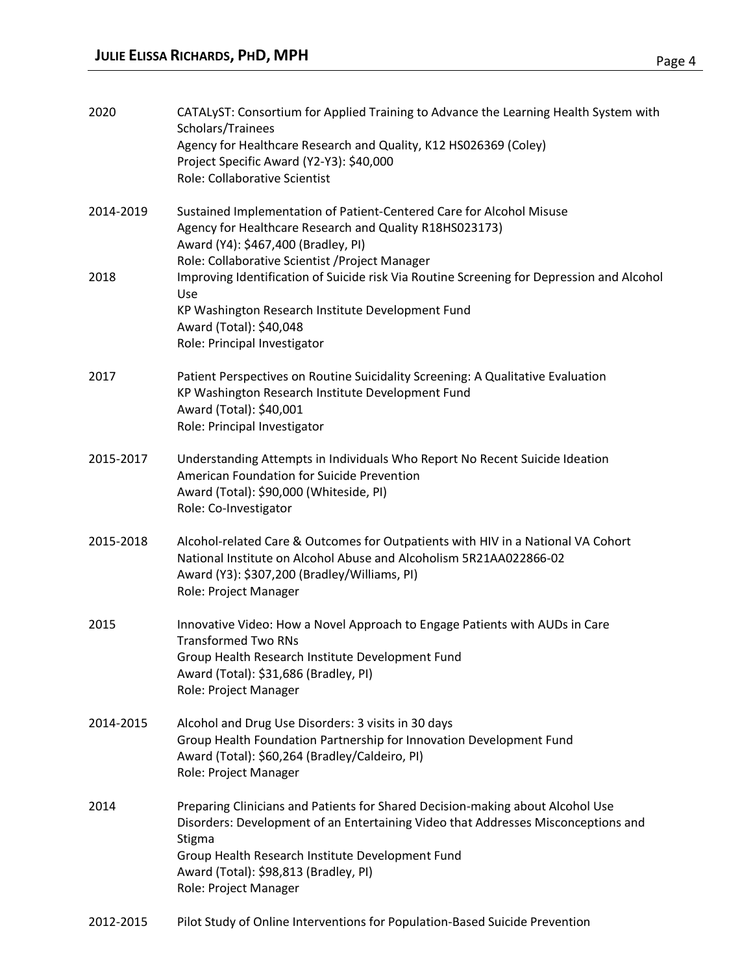| 2020      | CATALyST: Consortium for Applied Training to Advance the Learning Health System with<br>Scholars/Trainees<br>Agency for Healthcare Research and Quality, K12 HS026369 (Coley)<br>Project Specific Award (Y2-Y3): \$40,000<br><b>Role: Collaborative Scientist</b>                                   |
|-----------|-----------------------------------------------------------------------------------------------------------------------------------------------------------------------------------------------------------------------------------------------------------------------------------------------------|
| 2014-2019 | Sustained Implementation of Patient-Centered Care for Alcohol Misuse<br>Agency for Healthcare Research and Quality R18HS023173)<br>Award (Y4): \$467,400 (Bradley, PI)<br>Role: Collaborative Scientist / Project Manager                                                                           |
| 2018      | Improving Identification of Suicide risk Via Routine Screening for Depression and Alcohol<br>Use<br>KP Washington Research Institute Development Fund<br>Award (Total): \$40,048<br>Role: Principal Investigator                                                                                    |
| 2017      | Patient Perspectives on Routine Suicidality Screening: A Qualitative Evaluation<br>KP Washington Research Institute Development Fund<br>Award (Total): \$40,001<br>Role: Principal Investigator                                                                                                     |
| 2015-2017 | Understanding Attempts in Individuals Who Report No Recent Suicide Ideation<br>American Foundation for Suicide Prevention<br>Award (Total): \$90,000 (Whiteside, PI)<br>Role: Co-Investigator                                                                                                       |
| 2015-2018 | Alcohol-related Care & Outcomes for Outpatients with HIV in a National VA Cohort<br>National Institute on Alcohol Abuse and Alcoholism 5R21AA022866-02<br>Award (Y3): \$307,200 (Bradley/Williams, PI)<br>Role: Project Manager                                                                     |
| 2015      | Innovative Video: How a Novel Approach to Engage Patients with AUDs in Care<br><b>Transformed Two RNs</b><br>Group Health Research Institute Development Fund<br>Award (Total): \$31,686 (Bradley, PI)<br>Role: Project Manager                                                                     |
| 2014-2015 | Alcohol and Drug Use Disorders: 3 visits in 30 days<br>Group Health Foundation Partnership for Innovation Development Fund<br>Award (Total): \$60,264 (Bradley/Caldeiro, PI)<br>Role: Project Manager                                                                                               |
| 2014      | Preparing Clinicians and Patients for Shared Decision-making about Alcohol Use<br>Disorders: Development of an Entertaining Video that Addresses Misconceptions and<br>Stigma<br>Group Health Research Institute Development Fund<br>Award (Total): \$98,813 (Bradley, PI)<br>Role: Project Manager |
| 2012-2015 | Pilot Study of Online Interventions for Population-Based Suicide Prevention                                                                                                                                                                                                                         |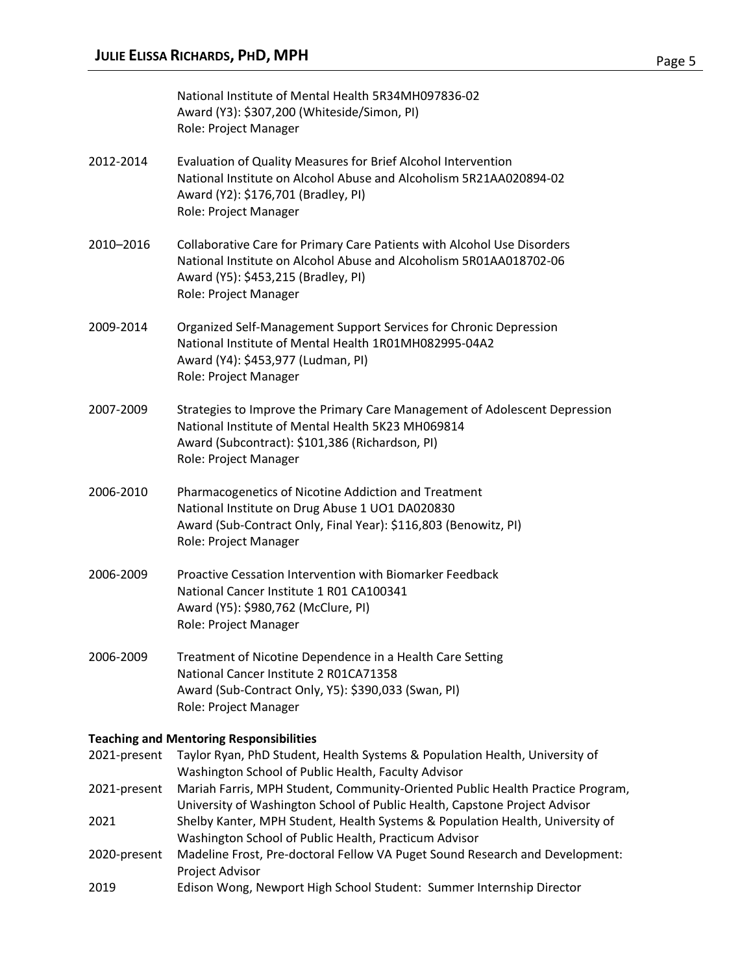|              | National Institute of Mental Health 5R34MH097836-02<br>Award (Y3): \$307,200 (Whiteside/Simon, PI)<br>Role: Project Manager                                                                                   |
|--------------|---------------------------------------------------------------------------------------------------------------------------------------------------------------------------------------------------------------|
| 2012-2014    | Evaluation of Quality Measures for Brief Alcohol Intervention<br>National Institute on Alcohol Abuse and Alcoholism 5R21AA020894-02<br>Award (Y2): \$176,701 (Bradley, PI)<br>Role: Project Manager           |
| 2010-2016    | Collaborative Care for Primary Care Patients with Alcohol Use Disorders<br>National Institute on Alcohol Abuse and Alcoholism 5R01AA018702-06<br>Award (Y5): \$453,215 (Bradley, PI)<br>Role: Project Manager |
| 2009-2014    | Organized Self-Management Support Services for Chronic Depression<br>National Institute of Mental Health 1R01MH082995-04A2<br>Award (Y4): \$453,977 (Ludman, PI)<br>Role: Project Manager                     |
| 2007-2009    | Strategies to Improve the Primary Care Management of Adolescent Depression<br>National Institute of Mental Health 5K23 MH069814<br>Award (Subcontract): \$101,386 (Richardson, PI)<br>Role: Project Manager   |
| 2006-2010    | Pharmacogenetics of Nicotine Addiction and Treatment<br>National Institute on Drug Abuse 1 UO1 DA020830<br>Award (Sub-Contract Only, Final Year): \$116,803 (Benowitz, PI)<br>Role: Project Manager           |
| 2006-2009    | Proactive Cessation Intervention with Biomarker Feedback<br>National Cancer Institute 1 R01 CA100341<br>Award (Y5): \$980,762 (McClure, PI)<br>Role: Project Manager                                          |
| 2006-2009    | Treatment of Nicotine Dependence in a Health Care Setting<br>National Cancer Institute 2 R01CA71358<br>Award (Sub-Contract Only, Y5): \$390,033 (Swan, PI)<br>Role: Project Manager                           |
|              | <b>Teaching and Mentoring Responsibilities</b>                                                                                                                                                                |
| 2021-present | Taylor Ryan, PhD Student, Health Systems & Population Health, University of<br>Washington School of Public Health, Faculty Advisor                                                                            |
| 2021-present | Mariah Farris, MPH Student, Community-Oriented Public Health Practice Program,<br>University of Washington School of Public Health, Capstone Project Advisor                                                  |
| 2021         | Shelby Kanter, MPH Student, Health Systems & Population Health, University of<br>Washington School of Public Health, Practicum Advisor                                                                        |
| 2020-present | Madeline Frost, Pre-doctoral Fellow VA Puget Sound Research and Development:<br>Project Advisor                                                                                                               |

2019 Edison Wong, Newport High School Student: Summer Internship Director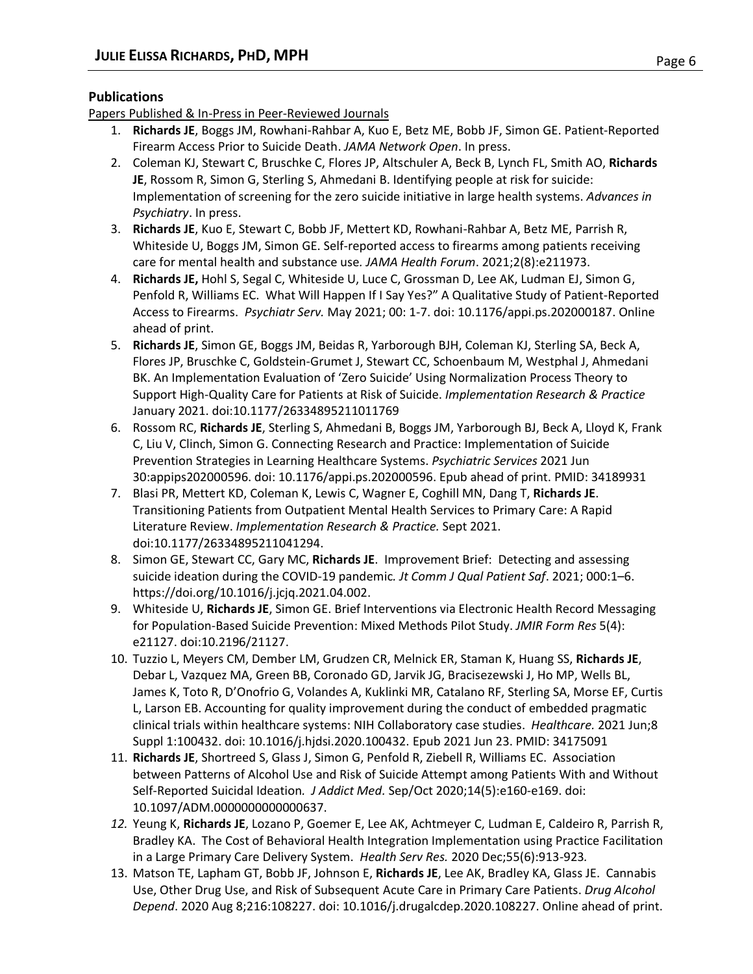# **Publications**

Papers Published & In-Press in Peer-Reviewed Journals

- 1. **Richards JE**, Boggs JM, Rowhani-Rahbar A, Kuo E, Betz ME, Bobb JF, Simon GE. Patient-Reported Firearm Access Prior to Suicide Death. *JAMA Network Open*. In press.
- 2. Coleman KJ, Stewart C, Bruschke C, Flores JP, Altschuler A, Beck B, Lynch FL, Smith AO, **Richards JE**, Rossom R, Simon G, Sterling S, Ahmedani B. Identifying people at risk for suicide: Implementation of screening for the zero suicide initiative in large health systems. *Advances in Psychiatry*. In press.
- 3. **Richards JE**, Kuo E, Stewart C, Bobb JF, Mettert KD, Rowhani-Rahbar A, Betz ME, Parrish R, Whiteside U, Boggs JM, Simon GE. Self-reported access to firearms among patients receiving care for mental health and substance use*. JAMA Health Forum*. 2021;2(8):e211973.
- 4. **Richards JE,** Hohl S, Segal C, Whiteside U, Luce C, Grossman D, Lee AK, Ludman EJ, Simon G, Penfold R, Williams EC. What Will Happen If I Say Yes?" A Qualitative Study of Patient-Reported Access to Firearms. *Psychiatr Serv.* May 2021; 00: 1-7. doi: 10.1176/appi.ps.202000187. Online ahead of print.
- 5. **Richards JE**, Simon GE, Boggs JM, Beidas R, Yarborough BJH, Coleman KJ, Sterling SA, Beck A, Flores JP, Bruschke C, Goldstein-Grumet J, Stewart CC, Schoenbaum M, Westphal J, Ahmedani BK. An Implementation Evaluation of 'Zero Suicide' Using Normalization Process Theory to Support High-Quality Care for Patients at Risk of Suicide. *Implementation Research & Practice* January 2021. doi:10.1177/26334895211011769
- 6. Rossom RC, **Richards JE**, Sterling S, Ahmedani B, Boggs JM, Yarborough BJ, Beck A, Lloyd K, Frank C, Liu V, Clinch, Simon G. Connecting Research and Practice: Implementation of Suicide Prevention Strategies in Learning Healthcare Systems. *Psychiatric Services* 2021 Jun 30:appips202000596. doi: 10.1176/appi.ps.202000596. Epub ahead of print. PMID: 34189931
- 7. Blasi PR, Mettert KD, Coleman K, Lewis C, Wagner E, Coghill MN, Dang T, **Richards JE**. Transitioning Patients from Outpatient Mental Health Services to Primary Care: A Rapid Literature Review. *Implementation Research & Practice.* Sept 2021. doi:10.1177/26334895211041294.
- 8. Simon GE, Stewart CC, Gary MC, **Richards JE**. Improvement Brief: Detecting and assessing suicide ideation during the COVID-19 pandemic*. Jt Comm J Qual Patient Saf*. 2021; 000:1–6. https://doi.org/10.1016/j.jcjq.2021.04.002.
- 9. Whiteside U, **Richards JE**, Simon GE. Brief Interventions via Electronic Health Record Messaging for Population-Based Suicide Prevention: Mixed Methods Pilot Study. *JMIR Form Res* 5(4): e21127. doi:10.2196/21127.
- 10. Tuzzio L, Meyers CM, Dember LM, Grudzen CR, Melnick ER, Staman K, Huang SS, **Richards JE**, Debar L, Vazquez MA, Green BB, Coronado GD, Jarvik JG, Bracisezewski J, Ho MP, Wells BL, James K, Toto R, D'Onofrio G, Volandes A, Kuklinki MR, Catalano RF, Sterling SA, Morse EF, Curtis L, Larson EB. Accounting for quality improvement during the conduct of embedded pragmatic clinical trials within healthcare systems: NIH Collaboratory case studies. *Healthcare.* 2021 Jun;8 Suppl 1:100432. doi: 10.1016/j.hjdsi.2020.100432. Epub 2021 Jun 23. PMID: 34175091
- 11. **Richards JE**, Shortreed S, Glass J, Simon G, Penfold R, Ziebell R, Williams EC. Association between Patterns of Alcohol Use and Risk of Suicide Attempt among Patients With and Without Self-Reported Suicidal Ideation*. J Addict Med.* Sep/Oct 2020;14(5):e160-e169. doi: 10.1097/ADM.0000000000000637.
- *12.* Yeung K, **Richards JE**, Lozano P, Goemer E, Lee AK, Achtmeyer C, Ludman E, Caldeiro R, Parrish R, Bradley KA. The Cost of Behavioral Health Integration Implementation using Practice Facilitation in a Large Primary Care Delivery System. *Health Serv Res.* 2020 Dec;55(6):913-923*.*
- 13. Matson TE, Lapham GT, Bobb JF, Johnson E, **Richards JE**, Lee AK, Bradley KA, Glass JE. Cannabis Use, Other Drug Use, and Risk of Subsequent Acute Care in Primary Care Patients. *Drug Alcohol Depend*. 2020 Aug 8;216:108227. doi: 10.1016/j.drugalcdep.2020.108227. Online ahead of print.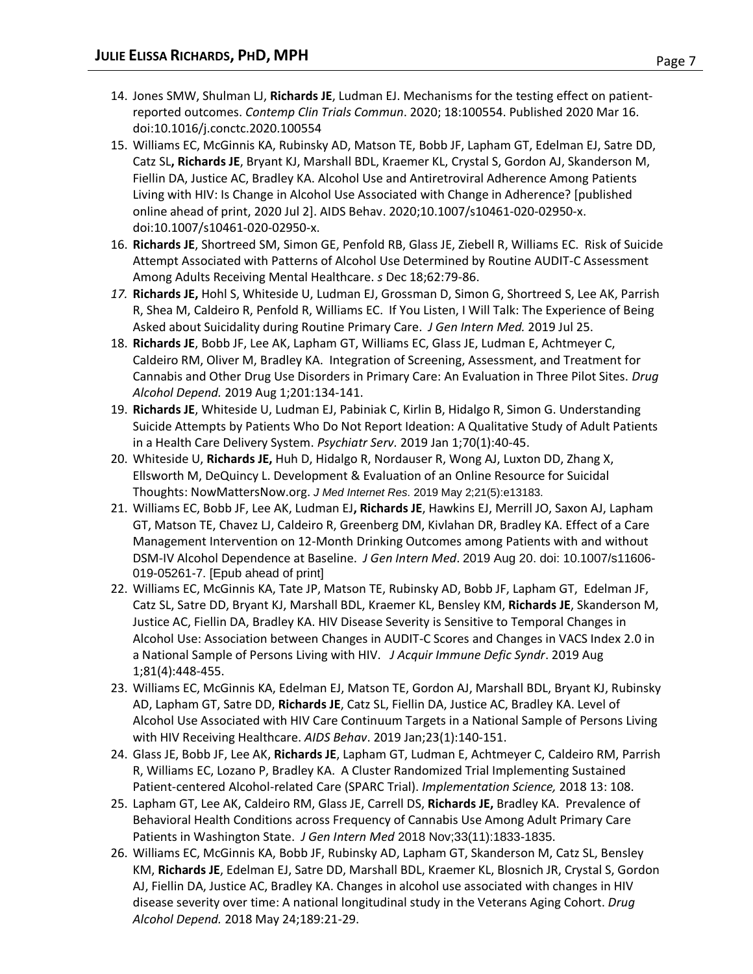- 14. Jones SMW, Shulman LJ, **Richards JE**, Ludman EJ. Mechanisms for the testing effect on patientreported outcomes. *Contemp Clin Trials Commun*. 2020; 18:100554. Published 2020 Mar 16. doi:10.1016/j.conctc.2020.100554
- 15. Williams EC, McGinnis KA, Rubinsky AD, Matson TE, Bobb JF, Lapham GT, Edelman EJ, Satre DD, Catz SL**, Richards JE**, Bryant KJ, Marshall BDL, Kraemer KL, Crystal S, Gordon AJ, Skanderson M, Fiellin DA, Justice AC, Bradley KA. Alcohol Use and Antiretroviral Adherence Among Patients Living with HIV: Is Change in Alcohol Use Associated with Change in Adherence? [published online ahead of print, 2020 Jul 2]. AIDS Behav. 2020;10.1007/s10461-020-02950-x. doi:10.1007/s10461-020-02950-x.
- 16. **Richards JE**, Shortreed SM, Simon GE, Penfold RB, Glass JE, Ziebell R, Williams EC. Risk of Suicide Attempt Associated with Patterns of Alcohol Use Determined by Routine AUDIT-C Assessment Among Adults Receiving Mental Healthcare. *s* Dec 18;62:79-86.
- *17.* **Richards JE,** Hohl S, Whiteside U, Ludman EJ, Grossman D, Simon G, Shortreed S, Lee AK, Parrish R, Shea M, Caldeiro R, Penfold R, Williams EC. If You Listen, I Will Talk: The Experience of Being Asked about Suicidality during Routine Primary Care. *J Gen Intern Med.* 2019 Jul 25.
- 18. **Richards JE**, Bobb JF, Lee AK, Lapham GT, Williams EC, Glass JE, Ludman E, Achtmeyer C, Caldeiro RM, Oliver M, Bradley KA. Integration of Screening, Assessment, and Treatment for Cannabis and Other Drug Use Disorders in Primary Care: An Evaluation in Three Pilot Sites. *Drug Alcohol Depend.* 2019 Aug 1;201:134-141.
- 19. **Richards JE**, Whiteside U, Ludman EJ, Pabiniak C, Kirlin B, Hidalgo R, Simon G. Understanding Suicide Attempts by Patients Who Do Not Report Ideation: A Qualitative Study of Adult Patients in a Health Care Delivery System. *Psychiatr Serv.* 2019 Jan 1;70(1):40-45.
- 20. Whiteside U, **Richards JE,** Huh D, Hidalgo R, Nordauser R, Wong AJ, Luxton DD, Zhang X, Ellsworth M, DeQuincy L. Development & Evaluation of an Online Resource for Suicidal Thoughts: NowMattersNow.org. *J Med Internet Res*. 2019 May 2;21(5):e13183.
- 21. Williams EC, Bobb JF, Lee AK, Ludman EJ**, Richards JE**, Hawkins EJ, Merrill JO, Saxon AJ, Lapham GT, Matson TE, Chavez LJ, Caldeiro R, Greenberg DM, Kivlahan DR, Bradley KA. Effect of a Care Management Intervention on 12-Month Drinking Outcomes among Patients with and without DSM-IV Alcohol Dependence at Baseline. *J Gen Intern Med*. 2019 Aug 20. doi: 10.1007/s11606- 019-05261-7. [Epub ahead of print]
- 22. Williams EC, McGinnis KA, Tate JP, Matson TE, Rubinsky AD, Bobb JF, Lapham GT, Edelman JF, Catz SL, Satre DD, Bryant KJ, Marshall BDL, Kraemer KL, Bensley KM, **Richards JE**, Skanderson M, Justice AC, Fiellin DA, Bradley KA. HIV Disease Severity is Sensitive to Temporal Changes in Alcohol Use: Association between Changes in AUDIT-C Scores and Changes in VACS Index 2.0 in a National Sample of Persons Living with HIV. *J Acquir Immune Defic Syndr*. 2019 Aug 1;81(4):448-455.
- 23. Williams EC, McGinnis KA, Edelman EJ, Matson TE, Gordon AJ, Marshall BDL, Bryant KJ, Rubinsky AD, Lapham GT, Satre DD, **Richards JE**, Catz SL, Fiellin DA, Justice AC, Bradley KA. Level of Alcohol Use Associated with HIV Care Continuum Targets in a National Sample of Persons Living with HIV Receiving Healthcare. *AIDS Behav*. 2019 Jan;23(1):140-151.
- 24. Glass JE, Bobb JF, Lee AK, **Richards JE**, Lapham GT, Ludman E, Achtmeyer C, Caldeiro RM, Parrish R, Williams EC, Lozano P, Bradley KA. A Cluster Randomized Trial Implementing Sustained Patient-centered Alcohol-related Care (SPARC Trial). *Implementation Science,* 2018 13: 108.
- 25. Lapham GT, Lee AK, Caldeiro RM, Glass JE, Carrell DS, **Richards JE,** Bradley KA. Prevalence of Behavioral Health Conditions across Frequency of Cannabis Use Among Adult Primary Care Patients in Washington State. *J Gen Intern Med* 2018 Nov;33(11):1833-1835.
- 26. Williams EC, McGinnis KA, Bobb JF, Rubinsky AD, Lapham GT, Skanderson M, Catz SL, Bensley KM, **Richards JE**, Edelman EJ, Satre DD, Marshall BDL, Kraemer KL, Blosnich JR, Crystal S, Gordon AJ, Fiellin DA, Justice AC, Bradley KA. Changes in alcohol use associated with changes in HIV disease severity over time: A national longitudinal study in the Veterans Aging Cohort. *Drug Alcohol Depend.* 2018 May 24;189:21-29.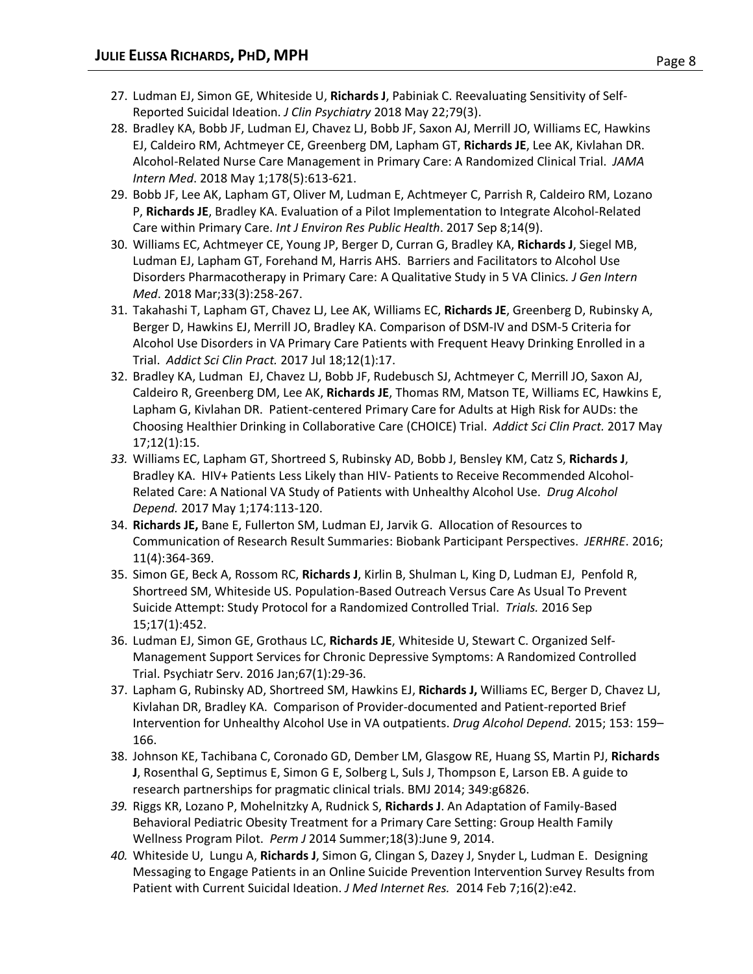- 27. Ludman EJ, Simon GE, Whiteside U, **Richards J**, Pabiniak C. Reevaluating Sensitivity of Self-Reported Suicidal Ideation. *J Clin Psychiatry* 2018 May 22;79(3).
- 28. Bradley KA, Bobb JF, Ludman EJ, Chavez LJ, Bobb JF, Saxon AJ, Merrill JO, Williams EC, Hawkins EJ, Caldeiro RM, Achtmeyer CE, Greenberg DM, Lapham GT, **Richards JE**, Lee AK, Kivlahan DR. Alcohol-Related Nurse Care Management in Primary Care: A Randomized Clinical Trial. *JAMA Intern Med*. 2018 May 1;178(5):613-621.
- 29. Bobb JF, Lee AK, Lapham GT, Oliver M, Ludman E, Achtmeyer C, Parrish R, Caldeiro RM, Lozano P, **Richards JE**, Bradley KA. Evaluation of a Pilot Implementation to Integrate Alcohol-Related Care within Primary Care. *Int J Environ Res Public Health*. 2017 Sep 8;14(9).
- 30. Williams EC, Achtmeyer CE, Young JP, Berger D, Curran G, Bradley KA, **Richards J**, Siegel MB, Ludman EJ, Lapham GT, Forehand M, Harris AHS. Barriers and Facilitators to Alcohol Use Disorders Pharmacotherapy in Primary Care: A Qualitative Study in 5 VA Clinics*. J Gen Intern Med*. 2018 Mar;33(3):258-267.
- 31. Takahashi T, Lapham GT, Chavez LJ, Lee AK, Williams EC, **Richards JE**, Greenberg D, Rubinsky A, Berger D, Hawkins EJ, Merrill JO, Bradley KA. Comparison of DSM-IV and DSM-5 Criteria for Alcohol Use Disorders in VA Primary Care Patients with Frequent Heavy Drinking Enrolled in a Trial. *Addict Sci Clin Pract.* 2017 Jul 18;12(1):17.
- 32. Bradley KA, Ludman EJ, Chavez LJ, Bobb JF, Rudebusch SJ, Achtmeyer C, Merrill JO, Saxon AJ, Caldeiro R, Greenberg DM, Lee AK, **Richards JE**, Thomas RM, Matson TE, Williams EC, Hawkins E, Lapham G, Kivlahan DR. Patient-centered Primary Care for Adults at High Risk for AUDs: the Choosing Healthier Drinking in Collaborative Care (CHOICE) Trial. *Addict Sci Clin Pract.* 2017 May 17;12(1):15.
- *33.* Williams EC, Lapham GT, Shortreed S, Rubinsky AD, Bobb J, Bensley KM, Catz S, **Richards J**, Bradley KA. HIV+ Patients Less Likely than HIV- Patients to Receive Recommended Alcohol-Related Care: A National VA Study of Patients with Unhealthy Alcohol Use. *Drug Alcohol Depend.* 2017 May 1;174:113-120.
- 34. **Richards JE,** Bane E, Fullerton SM, Ludman EJ, Jarvik G. Allocation of Resources to Communication of Research Result Summaries: Biobank Participant Perspectives. *JERHRE*. 2016; 11(4):364-369.
- 35. Simon GE, Beck A, Rossom RC, **Richards J**, Kirlin B, Shulman L, King D, Ludman EJ, Penfold R, Shortreed SM, Whiteside US. Population-Based Outreach Versus Care As Usual To Prevent Suicide Attempt: Study Protocol for a Randomized Controlled Trial. *Trials.* 2016 Sep 15;17(1):452.
- 36. Ludman EJ, Simon GE, Grothaus LC, **Richards JE**, Whiteside U, Stewart C. Organized Self-Management Support Services for Chronic Depressive Symptoms: A Randomized Controlled Trial. Psychiatr Serv. 2016 Jan;67(1):29-36.
- 37. Lapham G, Rubinsky AD, Shortreed SM, Hawkins EJ, **Richards J,** Williams EC, Berger D, Chavez LJ, Kivlahan DR, Bradley KA. Comparison of Provider-documented and Patient-reported Brief Intervention for Unhealthy Alcohol Use in VA outpatients. *Drug Alcohol Depend.* 2015; 153: 159– 166.
- 38. Johnson KE, Tachibana C, Coronado GD, Dember LM, Glasgow RE, Huang SS, Martin PJ, **Richards J**, Rosenthal G, Septimus E, Simon G E, Solberg L, Suls J, Thompson E, Larson EB. A guide to research partnerships for pragmatic clinical trials. BMJ 2014; 349:g6826.
- *39.* Riggs KR, Lozano P, Mohelnitzky A, Rudnick S, **Richards J**. An Adaptation of Family-Based Behavioral Pediatric Obesity Treatment for a Primary Care Setting: Group Health Family Wellness Program Pilot. *Perm J* 2014 Summer;18(3):June 9, 2014.
- *40.* Whiteside U, Lungu A, **Richards J**, Simon G, Clingan S, Dazey J, Snyder L, Ludman E. Designing Messaging to Engage Patients in an Online Suicide Prevention Intervention Survey Results from Patient with Current Suicidal Ideation. *J Med Internet Res.* 2014 Feb 7;16(2):e42.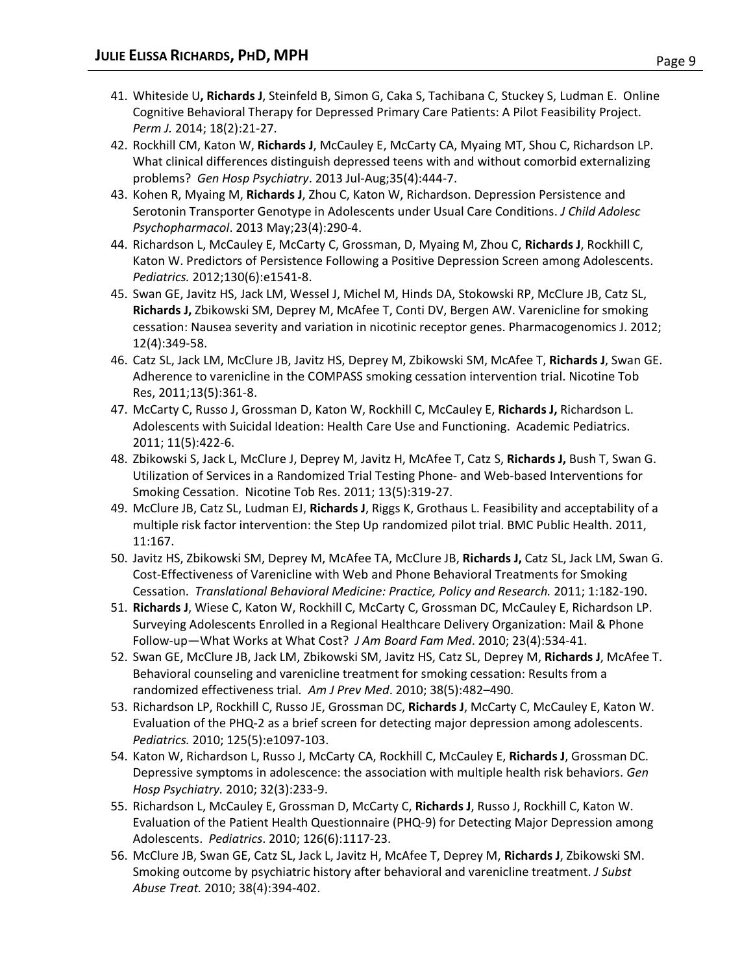- 41. Whiteside U**, Richards J**, Steinfeld B, Simon G, Caka S, Tachibana C, Stuckey S, Ludman E. Online Cognitive Behavioral Therapy for Depressed Primary Care Patients: A Pilot Feasibility Project. *Perm J.* 2014; 18(2):21-27.
- 42. Rockhill CM, Katon W, **Richards J**, McCauley E, McCarty CA, Myaing MT, Shou C, Richardson LP. What clinical differences distinguish depressed teens with and without comorbid externalizing problems? *Gen Hosp Psychiatry*. 2013 Jul-Aug;35(4):444-7.
- 43. Kohen R, Myaing M, **Richards J**, Zhou C, Katon W, Richardson. Depression Persistence and Serotonin Transporter Genotype in Adolescents under Usual Care Conditions. *J Child Adolesc Psychopharmacol*. 2013 May;23(4):290-4.
- 44. Richardson L, McCauley E, McCarty C, Grossman, D, Myaing M, Zhou C, **Richards J**, Rockhill C, Katon W. Predictors of Persistence Following a Positive Depression Screen among Adolescents. *Pediatrics.* 2012;130(6):e1541-8.
- 45. Swan GE, Javitz HS, Jack LM, Wessel J, Michel M, Hinds DA, Stokowski RP, McClure JB, Catz SL, **Richards J,** Zbikowski SM, Deprey M, McAfee T, Conti DV, Bergen AW. Varenicline for smoking cessation: Nausea severity and variation in nicotinic receptor genes. Pharmacogenomics J. 2012; 12(4):349-58.
- 46. Catz SL, Jack LM, McClure JB, Javitz HS, Deprey M, Zbikowski SM, McAfee T, **Richards J**, Swan GE. Adherence to varenicline in the COMPASS smoking cessation intervention trial. Nicotine Tob Res, 2011;13(5):361-8.
- 47. McCarty C, Russo J, Grossman D, Katon W, Rockhill C, McCauley E, **Richards J,** Richardson L. Adolescents with Suicidal Ideation: Health Care Use and Functioning. Academic Pediatrics. 2011; 11(5):422-6.
- 48. Zbikowski S, Jack L, McClure J, Deprey M, Javitz H, McAfee T, Catz S, **Richards J,** Bush T, Swan G. Utilization of Services in a Randomized Trial Testing Phone- and Web-based Interventions for Smoking Cessation. Nicotine Tob Res. 2011; 13(5):319-27.
- 49. McClure JB, Catz SL, Ludman EJ, **Richards J**, Riggs K, Grothaus L. Feasibility and acceptability of a multiple risk factor intervention: the Step Up randomized pilot trial. BMC Public Health. 2011, 11:167.
- 50. Javitz HS, Zbikowski SM, Deprey M, McAfee TA, McClure JB, **Richards J,** Catz SL, Jack LM, Swan G. Cost-Effectiveness of Varenicline with Web and Phone Behavioral Treatments for Smoking Cessation. *Translational Behavioral Medicine: Practice, Policy and Research.* 2011; 1:182-190.
- 51. **Richards J**, Wiese C, Katon W, Rockhill C, McCarty C, Grossman DC, McCauley E, Richardson LP. Surveying Adolescents Enrolled in a Regional Healthcare Delivery Organization: Mail & Phone Follow-up—What Works at What Cost? *J Am Board Fam Med*. 2010; 23(4):534-41.
- 52. Swan GE, McClure JB, Jack LM, Zbikowski SM, Javitz HS, Catz SL, Deprey M, **Richards J**, McAfee T. Behavioral counseling and varenicline treatment for smoking cessation: Results from a randomized effectiveness trial*. Am J Prev Med*. 2010; 38(5):482–490.
- 53. Richardson LP, Rockhill C, Russo JE, Grossman DC, **Richards J**, McCarty C, McCauley E, Katon W. Evaluation of the PHQ-2 as a brief screen for detecting major depression among adolescents. *Pediatrics.* 2010; 125(5):e1097-103.
- 54. Katon W, Richardson L, Russo J, McCarty CA, Rockhill C, McCauley E, **Richards J**, Grossman DC. Depressive symptoms in adolescence: the association with multiple health risk behaviors. *Gen Hosp Psychiatry.* 2010; 32(3):233-9.
- 55. Richardson L, McCauley E, Grossman D, McCarty C, **Richards J**, Russo J, Rockhill C, Katon W. Evaluation of the Patient Health Questionnaire (PHQ-9) for Detecting Major Depression among Adolescents. *Pediatrics*. 2010; 126(6):1117-23.
- 56. McClure JB, Swan GE, Catz SL, Jack L, Javitz H, McAfee T, Deprey M, **Richards J**, Zbikowski SM. Smoking outcome by psychiatric history after behavioral and varenicline treatment. *J Subst Abuse Treat.* 2010; 38(4):394-402.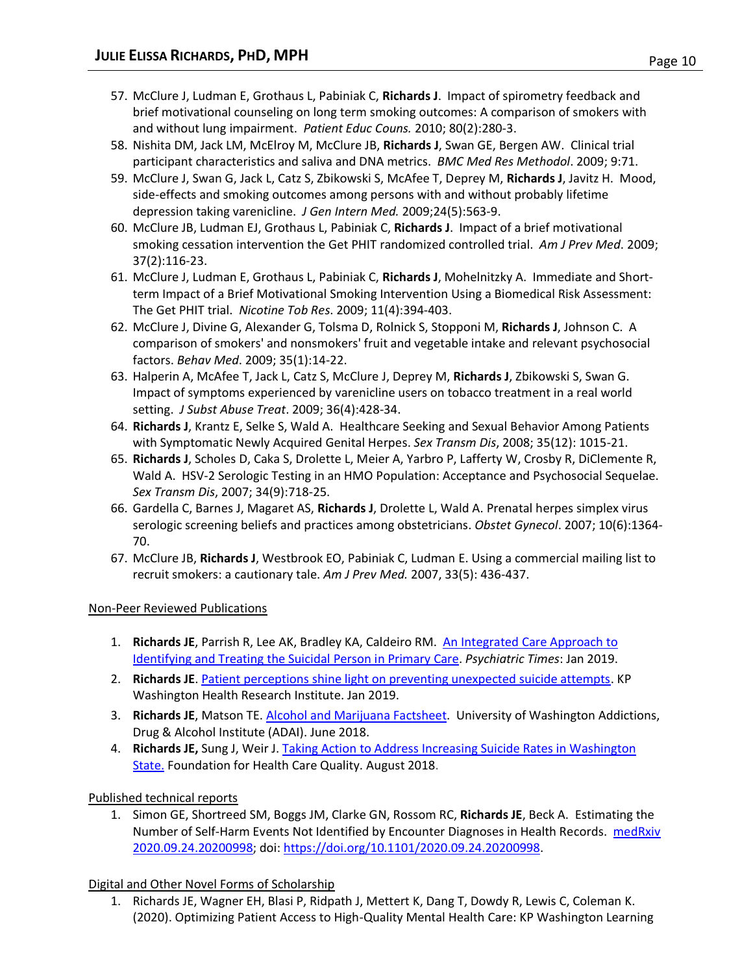- 57. McClure J, Ludman E, Grothaus L, Pabiniak C, **Richards J**. Impact of spirometry feedback and brief motivational counseling on long term smoking outcomes: A comparison of smokers with and without lung impairment. *Patient Educ Couns.* 2010; 80(2):280-3.
- 58. Nishita DM, Jack LM, McElroy M, McClure JB, **Richards J**, Swan GE, Bergen AW. Clinical trial participant characteristics and saliva and DNA metrics. *BMC Med Res Methodol*. 2009; 9:71.
- 59. McClure J, Swan G, Jack L, Catz S, Zbikowski S, McAfee T, Deprey M, **Richards J**, Javitz H. Mood, side-effects and smoking outcomes among persons with and without probably lifetime depression taking varenicline. *J Gen Intern Med.* 2009;24(5):563-9.
- 60. McClure JB, Ludman EJ, Grothaus L, Pabiniak C, **Richards J**. Impact of a brief motivational smoking cessation intervention the Get PHIT randomized controlled trial. *Am J Prev Med*. 2009; 37(2):116-23.
- 61. McClure J, Ludman E, Grothaus L, Pabiniak C, **Richards J**, Mohelnitzky A. Immediate and Shortterm Impact of a Brief Motivational Smoking Intervention Using a Biomedical Risk Assessment: The Get PHIT trial. *Nicotine Tob Res*. 2009; 11(4):394-403.
- 62. McClure J, Divine G, Alexander G, Tolsma D, Rolnick S, Stopponi M, **Richards J**, Johnson C. A comparison of smokers' and nonsmokers' fruit and vegetable intake and relevant psychosocial factors. *Behav Med*. 2009; 35(1):14-22.
- 63. Halperin A, McAfee T, Jack L, Catz S, McClure J, Deprey M, **Richards J**, Zbikowski S, Swan G. Impact of symptoms experienced by varenicline users on tobacco treatment in a real world setting. *J Subst Abuse Treat*. 2009; 36(4):428-34.
- 64. **Richards J**, Krantz E, Selke S, Wald A. Healthcare Seeking and Sexual Behavior Among Patients with Symptomatic Newly Acquired Genital Herpes. *Sex Transm Dis*, 2008; 35(12): 1015-21.
- 65. **Richards J**, Scholes D, Caka S, Drolette L, Meier A, Yarbro P, Lafferty W, Crosby R, DiClemente R, Wald A. HSV-2 Serologic Testing in an HMO Population: Acceptance and Psychosocial Sequelae. *Sex Transm Dis*, 2007; 34(9):718-25.
- 66. [Gardella C,](http://www.ncbi.nlm.nih.gov/sites/entrez?Db=pubmed&Cmd=Search&Term=%22Gardella%20C%22%5BAuthor%5D&itool=EntrezSystem2.PEntrez.Pubmed.Pubmed_ResultsPanel.Pubmed_RVAbstractPlus) [Barnes J,](http://www.ncbi.nlm.nih.gov/sites/entrez?Db=pubmed&Cmd=Search&Term=%22Barnes%20J%22%5BAuthor%5D&itool=EntrezSystem2.PEntrez.Pubmed.Pubmed_ResultsPanel.Pubmed_RVAbstractPlus) [Magaret AS,](http://www.ncbi.nlm.nih.gov/sites/entrez?Db=pubmed&Cmd=Search&Term=%22Magaret%20AS%22%5BAuthor%5D&itool=EntrezSystem2.PEntrez.Pubmed.Pubmed_ResultsPanel.Pubmed_RVAbstractPlus) **[Richards J](http://www.ncbi.nlm.nih.gov/sites/entrez?Db=pubmed&Cmd=Search&Term=%22Richards%20J%22%5BAuthor%5D&itool=EntrezSystem2.PEntrez.Pubmed.Pubmed_ResultsPanel.Pubmed_RVAbstractPlus)**, [Drolette](http://www.ncbi.nlm.nih.gov/sites/entrez?Db=pubmed&Cmd=Search&Term=%22Drolette%20L%22%5BAuthor%5D&itool=EntrezSystem2.PEntrez.Pubmed.Pubmed_ResultsPanel.Pubmed_RVAbstractPlus) L, [Wald A.](http://www.ncbi.nlm.nih.gov/sites/entrez?Db=pubmed&Cmd=Search&Term=%22Wald%20A%22%5BAuthor%5D&itool=EntrezSystem2.PEntrez.Pubmed.Pubmed_ResultsPanel.Pubmed_RVAbstractPlus) Prenatal herpes simplex virus serologic screening beliefs and practices among obstetricians. *Obstet Gynecol*. 2007; 10(6):1364- 70.
- 67. McClure JB, **Richards J**, Westbrook EO, Pabiniak C, Ludman E. Using a commercial mailing list to recruit smokers: a cautionary tale. *Am J Prev Med.* 2007, 33(5): 436-437.

# Non-Peer Reviewed Publications

- 1. **Richards JE**, Parrish R, Lee AK, Bradley KA, Caldeiro RM. [An Integrated Care Approach](http://www.psychiatrictimes.com/special-reports/integrated-care-approach-identifying-and-treating-suicidal-person-primary-care) to [Identifying and Treating the Suicidal](http://www.psychiatrictimes.com/special-reports/integrated-care-approach-identifying-and-treating-suicidal-person-primary-care) Person in Primary Care. *Psychiatric Times*: Jan 2019.
- 2. **Richards JE**. Patient perceptions [shine light on preventing unexpected suicide attempts.](https://medium.com/@KPWaResearch/patient-perceptions-shine-light-on-preventing-unexpected-suicide-attempts-a42a088d381b) KP Washington Health Research Institute. Jan 2019.
- 3. **Richards JE**, Matson TE. [Alcohol and Marijuana Factsheet.](https://www.learnaboutmarijuanawa.org/topics/other-drugs-and-cannabis/alcohol/) University of Washington Addictions, Drug & Alcohol Institute (ADAI). June 2018.
- 4. **Richards JE,** Sung J, Weir J. Taking Action [to Address Increasing Suicide Rates in Washington](https://www.qualityhealth.org/bree/2018/08/01/suicide-care/) [State.](https://www.qualityhealth.org/bree/2018/08/01/suicide-care/) Foundation for Health Care Quality. August 2018.

# Published technical reports

1. Simon GE, Shortreed SM, Boggs JM, Clarke GN, Rossom RC, **Richards JE**, Beck A. Estimating the Number of Self-Harm Events Not Identified by Encounter Diagnoses in Health Records. medRxiv [2020.09.24.20200998;](https://www.medrxiv.org/content/10.1101/2020.09.24.20200998v1) doi: [https://doi.org/10.1101/2020.09.24.20200998.](https://doi.org/10.1101/2020.09.24.20200998)

# Digital and Other Novel Forms of Scholarship

1. Richards JE, Wagner EH, Blasi P, Ridpath J, Mettert K, Dang T, Dowdy R, Lewis C, Coleman K. (2020). Optimizing Patient Access to High-Quality Mental Health Care: KP Washington Learning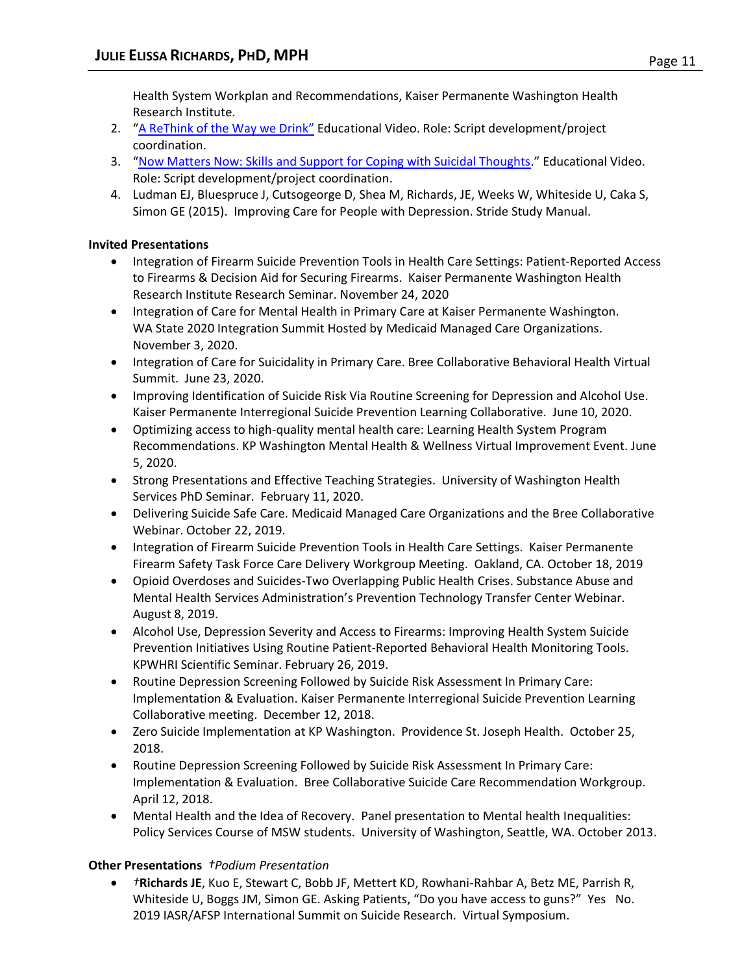Health System Workplan and Recommendations, Kaiser Permanente Washington Health Research Institute.

- 2. "[A ReThink of the Way we Drink](https://www.youtube.com/watch?v=tbKbq2IytC4)" Educational Video. Role: Script development/project coordination.
- 3. "[Now Matters Now: Skills and Support for Coping with Suicidal Thoughts.](https://www.nowmattersnow.org/about)" Educational Video. Role: Script development/project coordination.
- 4. Ludman EJ, Bluespruce J, Cutsogeorge D, Shea M, Richards, JE, Weeks W, Whiteside U, Caka S, Simon GE (2015). Improving Care for People with Depression. Stride Study Manual.

#### **Invited Presentations**

- Integration of Firearm Suicide Prevention Tools in Health Care Settings: Patient-Reported Access to Firearms & Decision Aid for Securing Firearms. Kaiser Permanente Washington Health Research Institute Research Seminar. November 24, 2020
- Integration of Care for Mental Health in Primary Care at Kaiser Permanente Washington. WA State 2020 Integration Summit Hosted by Medicaid Managed Care Organizations. November 3, 2020.
- Integration of Care for Suicidality in Primary Care. Bree Collaborative Behavioral Health Virtual Summit. June 23, 2020.
- Improving Identification of Suicide Risk Via Routine Screening for Depression and Alcohol Use. Kaiser Permanente Interregional Suicide Prevention Learning Collaborative. June 10, 2020.
- Optimizing access to high-quality mental health care: Learning Health System Program Recommendations. KP Washington Mental Health & Wellness Virtual Improvement Event. June 5, 2020.
- Strong Presentations and Effective Teaching Strategies. University of Washington Health Services PhD Seminar. February 11, 2020.
- Delivering Suicide Safe Care. Medicaid Managed Care Organizations and the Bree Collaborative Webinar. October 22, 2019.
- Integration of Firearm Suicide Prevention Tools in Health Care Settings. Kaiser Permanente Firearm Safety Task Force Care Delivery Workgroup Meeting. Oakland, CA. October 18, 2019
- Opioid Overdoses and Suicides-Two Overlapping Public Health Crises. Substance Abuse and Mental Health Services Administration's Prevention Technology Transfer Center Webinar. August 8, 2019.
- Alcohol Use, Depression Severity and Access to Firearms: Improving Health System Suicide Prevention Initiatives Using Routine Patient-Reported Behavioral Health Monitoring Tools. KPWHRI Scientific Seminar. February 26, 2019.
- Routine Depression Screening Followed by Suicide Risk Assessment In Primary Care: Implementation & Evaluation. Kaiser Permanente Interregional Suicide Prevention Learning Collaborative meeting. December 12, 2018.
- Zero Suicide Implementation at KP Washington. Providence St. Joseph Health. October 25, 2018.
- Routine Depression Screening Followed by Suicide Risk Assessment In Primary Care: Implementation & Evaluation. Bree Collaborative Suicide Care Recommendation Workgroup. April 12, 2018.
- Mental Health and the Idea of Recovery. Panel presentation to Mental health Inequalities: Policy Services Course of MSW students. University of Washington, Seattle, WA. October 2013.

# **Other Presentations** *†Podium Presentation*

• *†***Richards JE**, Kuo E, Stewart C, Bobb JF, Mettert KD, Rowhani-Rahbar A, Betz ME, Parrish R, Whiteside U, Boggs JM, Simon GE. Asking Patients, "Do you have access to guns?" Yes No. 2019 IASR/AFSP International Summit on Suicide Research. Virtual Symposium.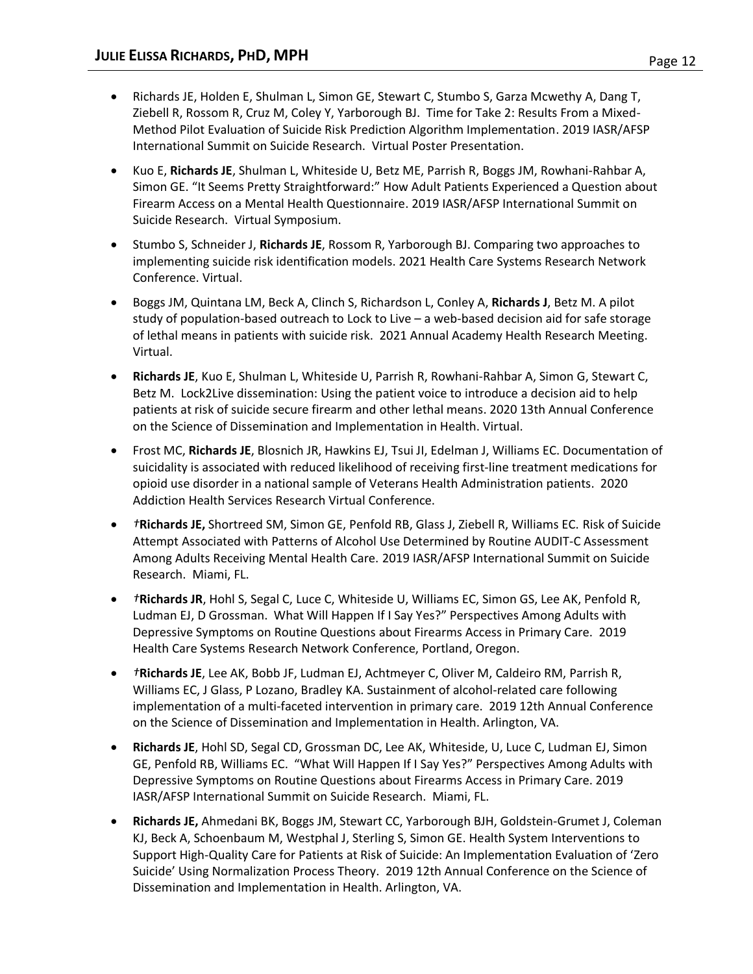- Richards JE, Holden E, Shulman L, Simon GE, Stewart C, Stumbo S, Garza Mcwethy A, Dang T, Ziebell R, Rossom R, Cruz M, Coley Y, Yarborough BJ. Time for Take 2: Results From a Mixed-Method Pilot Evaluation of Suicide Risk Prediction Algorithm Implementation. 2019 IASR/AFSP International Summit on Suicide Research. Virtual Poster Presentation.
- Kuo E, **Richards JE**, Shulman L, Whiteside U, Betz ME, Parrish R, Boggs JM, Rowhani-Rahbar A, Simon GE. "It Seems Pretty Straightforward:" How Adult Patients Experienced a Question about Firearm Access on a Mental Health Questionnaire. 2019 IASR/AFSP International Summit on Suicide Research. Virtual Symposium.
- Stumbo S, Schneider J, **Richards JE**, Rossom R, Yarborough BJ. Comparing two approaches to implementing suicide risk identification models. 2021 Health Care Systems Research Network Conference. Virtual.
- Boggs JM, Quintana LM, Beck A, Clinch S, Richardson L, Conley A, **Richards J**, Betz M. A pilot study of population-based outreach to Lock to Live – a web-based decision aid for safe storage of lethal means in patients with suicide risk. 2021 Annual Academy Health Research Meeting. Virtual.
- **Richards JE**, Kuo E, Shulman L, Whiteside U, Parrish R, Rowhani-Rahbar A, Simon G, Stewart C, Betz M. Lock2Live dissemination: Using the patient voice to introduce a decision aid to help patients at risk of suicide secure firearm and other lethal means. 2020 13th Annual Conference on the Science of Dissemination and Implementation in Health. Virtual.
- Frost MC, **Richards JE**, Blosnich JR, Hawkins EJ, Tsui JI, Edelman J, Williams EC. Documentation of suicidality is associated with reduced likelihood of receiving first-line treatment medications for opioid use disorder in a national sample of Veterans Health Administration patients. 2020 Addiction Health Services Research Virtual Conference.
- *†***Richards JE,** Shortreed SM, Simon GE, Penfold RB, Glass J, Ziebell R, Williams EC. Risk of Suicide Attempt Associated with Patterns of Alcohol Use Determined by Routine AUDIT-C Assessment Among Adults Receiving Mental Health Care. 2019 IASR/AFSP International Summit on Suicide Research. Miami, FL.
- *†***Richards JR**, Hohl S, Segal C, Luce C, Whiteside U, Williams EC, Simon GS, Lee AK, Penfold R, Ludman EJ, D Grossman. What Will Happen If I Say Yes?" Perspectives Among Adults with Depressive Symptoms on Routine Questions about Firearms Access in Primary Care. 2019 Health Care Systems Research Network Conference, Portland, Oregon.
- *†***Richards JE**, Lee AK, Bobb JF, Ludman EJ, Achtmeyer C, Oliver M, Caldeiro RM, Parrish R, Williams EC, J Glass, P Lozano, Bradley KA. Sustainment of alcohol-related care following implementation of a multi-faceted intervention in primary care. 2019 12th Annual Conference on the Science of Dissemination and Implementation in Health. Arlington, VA.
- **Richards JE**, Hohl SD, Segal CD, Grossman DC, Lee AK, Whiteside, U, Luce C, Ludman EJ, Simon GE, Penfold RB, Williams EC. "What Will Happen If I Say Yes?" Perspectives Among Adults with Depressive Symptoms on Routine Questions about Firearms Access in Primary Care. 2019 IASR/AFSP International Summit on Suicide Research. Miami, FL.
- **Richards JE,** Ahmedani BK, Boggs JM, Stewart CC, Yarborough BJH, Goldstein-Grumet J, Coleman KJ, Beck A, Schoenbaum M, Westphal J, Sterling S, Simon GE. Health System Interventions to Support High-Quality Care for Patients at Risk of Suicide: An Implementation Evaluation of 'Zero Suicide' Using Normalization Process Theory. 2019 12th Annual Conference on the Science of Dissemination and Implementation in Health. Arlington, VA.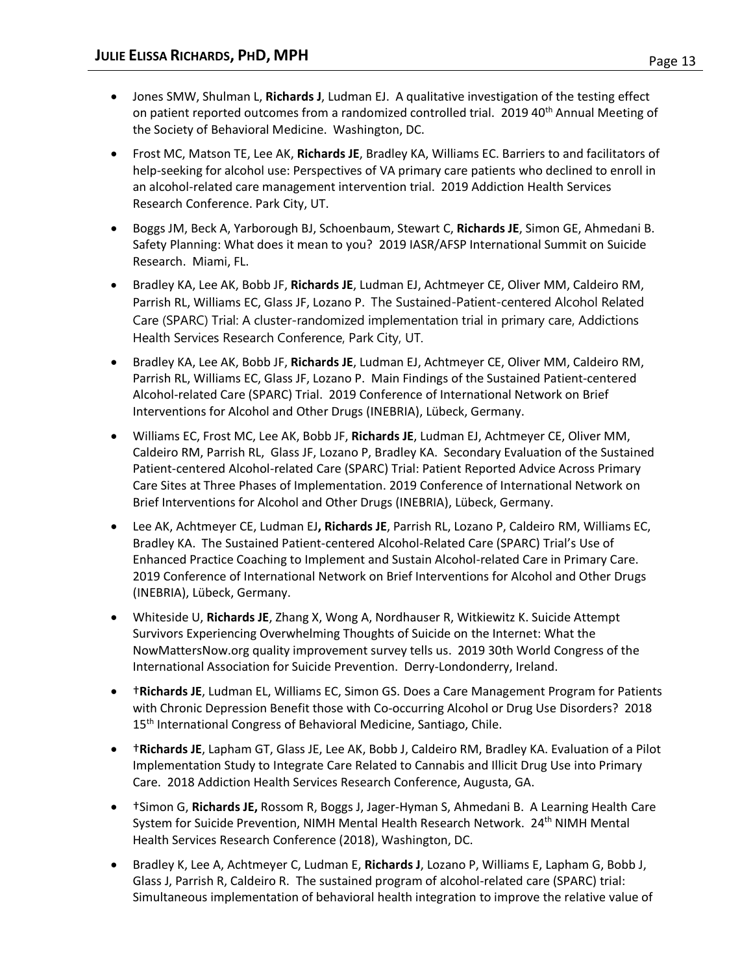- Jones SMW, Shulman L, **Richards J**, Ludman EJ. A qualitative investigation of the testing effect on patient reported outcomes from a randomized controlled trial. 2019 40<sup>th</sup> Annual Meeting of the Society of Behavioral Medicine. Washington, DC.
- Frost MC, Matson TE, Lee AK, **Richards JE**, Bradley KA, Williams EC. Barriers to and facilitators of help-seeking for alcohol use: Perspectives of VA primary care patients who declined to enroll in an alcohol-related care management intervention trial. 2019 Addiction Health Services Research Conference. Park City, UT.
- Boggs JM, Beck A, Yarborough BJ, Schoenbaum, Stewart C, **Richards JE**, Simon GE, Ahmedani B. Safety Planning: What does it mean to you? 2019 IASR/AFSP International Summit on Suicide Research. Miami, FL.
- Bradley KA, Lee AK, Bobb JF, **Richards JE**, Ludman EJ, Achtmeyer CE, Oliver MM, Caldeiro RM, Parrish RL, Williams EC, Glass JF, Lozano P. The Sustained-Patient-centered Alcohol Related Care (SPARC) Trial: A cluster-randomized implementation trial in primary care, Addictions Health Services Research Conference, Park City, UT.
- Bradley KA, Lee AK, Bobb JF, **Richards JE**, Ludman EJ, Achtmeyer CE, Oliver MM, Caldeiro RM, Parrish RL, Williams EC, Glass JF, Lozano P. Main Findings of the Sustained Patient-centered Alcohol-related Care (SPARC) Trial. 2019 Conference of International Network on Brief Interventions for Alcohol and Other Drugs (INEBRIA), Lübeck, Germany.
- Williams EC, Frost MC, Lee AK, Bobb JF, **Richards JE**, Ludman EJ, Achtmeyer CE, Oliver MM, Caldeiro RM, Parrish RL, Glass JF, Lozano P, Bradley KA. Secondary Evaluation of the Sustained Patient-centered Alcohol-related Care (SPARC) Trial: Patient Reported Advice Across Primary Care Sites at Three Phases of Implementation. 2019 Conference of International Network on Brief Interventions for Alcohol and Other Drugs (INEBRIA), Lübeck, Germany.
- Lee AK, Achtmeyer CE, Ludman EJ**, Richards JE**, Parrish RL, Lozano P, Caldeiro RM, Williams EC, Bradley KA. The Sustained Patient-centered Alcohol-Related Care (SPARC) Trial's Use of Enhanced Practice Coaching to Implement and Sustain Alcohol-related Care in Primary Care. 2019 Conference of International Network on Brief Interventions for Alcohol and Other Drugs (INEBRIA), Lübeck, Germany.
- Whiteside U, **Richards JE**, Zhang X, Wong A, Nordhauser R, Witkiewitz K. Suicide Attempt Survivors Experiencing Overwhelming Thoughts of Suicide on the Internet: What the NowMattersNow.org quality improvement survey tells us. 2019 30th World Congress of the International Association for Suicide Prevention. Derry-Londonderry, Ireland.
- †**Richards JE**, Ludman EL, Williams EC, Simon GS. Does a Care Management Program for Patients with Chronic Depression Benefit those with Co-occurring Alcohol or Drug Use Disorders? 2018 15<sup>th</sup> International Congress of Behavioral Medicine, Santiago, Chile.
- †**Richards JE**, Lapham GT, Glass JE, Lee AK, Bobb J, Caldeiro RM, Bradley KA. Evaluation of a Pilot Implementation Study to Integrate Care Related to Cannabis and Illicit Drug Use into Primary Care. 2018 Addiction Health Services Research Conference, Augusta, GA.
- †Simon G, **Richards JE,** Rossom R, Boggs J, Jager-Hyman S, Ahmedani B. A Learning Health Care System for Suicide Prevention, NIMH Mental Health Research Network. 24<sup>th</sup> NIMH Mental Health Services Research Conference (2018), Washington, DC.
- Bradley K, Lee A, Achtmeyer C, Ludman E, **Richards J**, Lozano P, Williams E, Lapham G, Bobb J, Glass J, Parrish R, Caldeiro R. The sustained program of alcohol-related care (SPARC) trial: Simultaneous implementation of behavioral health integration to improve the relative value of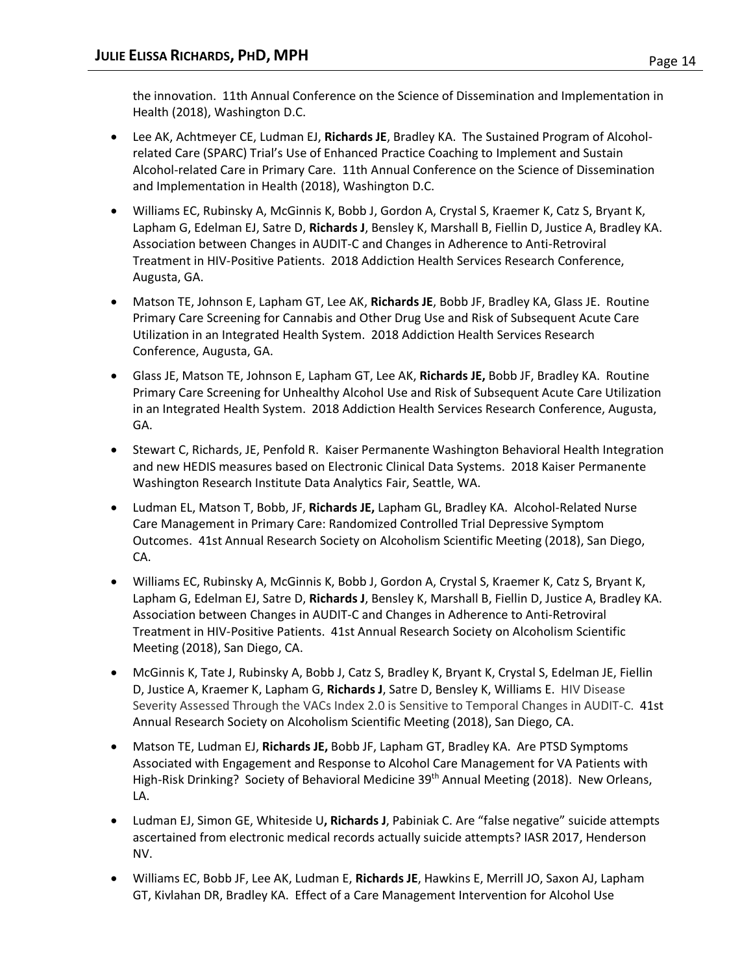the innovation. 11th Annual Conference on the Science of Dissemination and Implementation in Health (2018), Washington D.C.

- Lee AK, Achtmeyer CE, Ludman EJ, **Richards JE**, Bradley KA. The Sustained Program of Alcoholrelated Care (SPARC) Trial's Use of Enhanced Practice Coaching to Implement and Sustain Alcohol-related Care in Primary Care. 11th Annual Conference on the Science of Dissemination and Implementation in Health (2018), Washington D.C.
- Williams EC, Rubinsky A, McGinnis K, Bobb J, Gordon A, Crystal S, Kraemer K, Catz S, Bryant K, Lapham G, Edelman EJ, Satre D, **Richards J**, Bensley K, Marshall B, Fiellin D, Justice A, Bradley KA. Association between Changes in AUDIT-C and Changes in Adherence to Anti-Retroviral Treatment in HIV-Positive Patients. 2018 Addiction Health Services Research Conference, Augusta, GA.
- Matson TE, Johnson E, Lapham GT, Lee AK, **Richards JE**, Bobb JF, Bradley KA, Glass JE. Routine Primary Care Screening for Cannabis and Other Drug Use and Risk of Subsequent Acute Care Utilization in an Integrated Health System. 2018 Addiction Health Services Research Conference, Augusta, GA.
- Glass JE, Matson TE, Johnson E, Lapham GT, Lee AK, **Richards JE,** Bobb JF, Bradley KA. Routine Primary Care Screening for Unhealthy Alcohol Use and Risk of Subsequent Acute Care Utilization in an Integrated Health System. 2018 Addiction Health Services Research Conference, Augusta, GA.
- Stewart C, Richards, JE, Penfold R.Kaiser Permanente Washington Behavioral Health Integration and new HEDIS measures based on Electronic Clinical Data Systems. 2018 Kaiser Permanente Washington Research Institute Data Analytics Fair, Seattle, WA.
- Ludman EL, Matson T, Bobb, JF, **Richards JE,** Lapham GL, Bradley KA. Alcohol-Related Nurse Care Management in Primary Care: Randomized Controlled Trial Depressive Symptom Outcomes. 41st Annual Research Society on Alcoholism Scientific Meeting (2018), San Diego, CA.
- Williams EC, Rubinsky A, McGinnis K, Bobb J, Gordon A, Crystal S, Kraemer K, Catz S, Bryant K, Lapham G, Edelman EJ, Satre D, **Richards J**, Bensley K, Marshall B, Fiellin D, Justice A, Bradley KA. Association between Changes in AUDIT-C and Changes in Adherence to Anti-Retroviral Treatment in HIV-Positive Patients. 41st Annual Research Society on Alcoholism Scientific Meeting (2018), San Diego, CA.
- McGinnis K, Tate J, Rubinsky A, Bobb J, Catz S, Bradley K, Bryant K, Crystal S, Edelman JE, Fiellin D, Justice A, Kraemer K, Lapham G, **Richards J**, Satre D, Bensley K, Williams E. HIV Disease Severity Assessed Through the VACs Index 2.0 is Sensitive to Temporal Changes in AUDIT-C. 41st Annual Research Society on Alcoholism Scientific Meeting (2018), San Diego, CA.
- Matson TE, Ludman EJ, **Richards JE,** Bobb JF, Lapham GT, Bradley KA. Are PTSD Symptoms Associated with Engagement and Response to Alcohol Care Management for VA Patients with High-Risk Drinking? Society of Behavioral Medicine 39<sup>th</sup> Annual Meeting (2018). New Orleans, LA.
- Ludman EJ, Simon GE, Whiteside U**, Richards J**, Pabiniak C. Are "false negative" suicide attempts ascertained from electronic medical records actually suicide attempts? IASR 2017, Henderson NV.
- Williams EC, Bobb JF, Lee AK, Ludman E, **Richards JE**, Hawkins E, Merrill JO, Saxon AJ, Lapham GT, Kivlahan DR, Bradley KA. Effect of a Care Management Intervention for Alcohol Use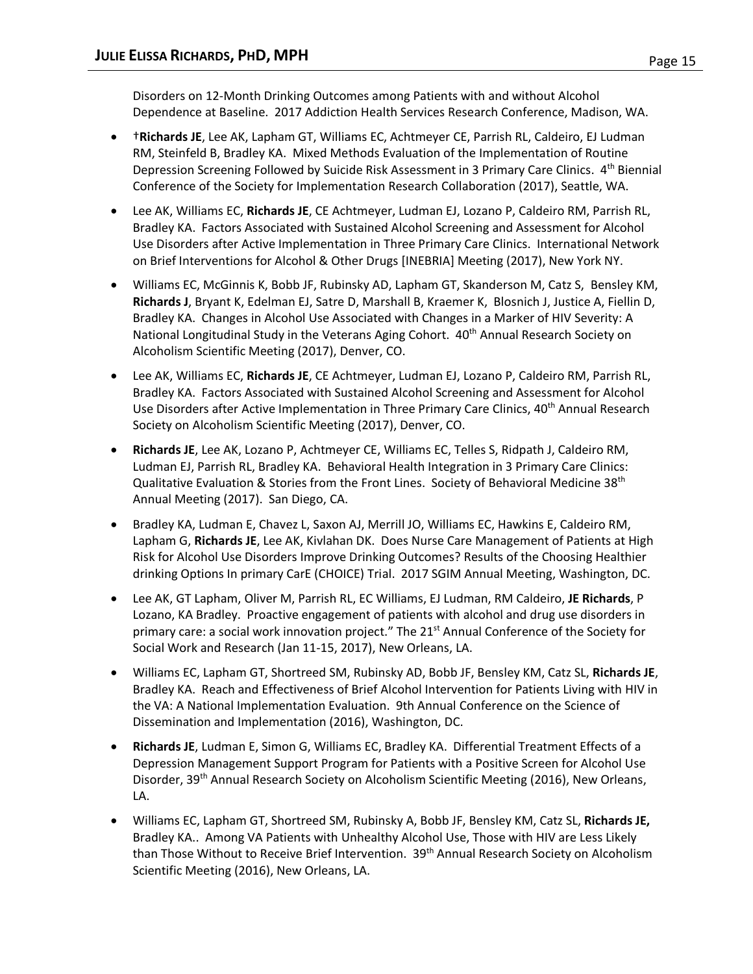Disorders on 12-Month Drinking Outcomes among Patients with and without Alcohol Dependence at Baseline. 2017 Addiction Health Services Research Conference, Madison, WA.

- †**Richards JE**, Lee AK, Lapham GT, Williams EC, Achtmeyer CE, Parrish RL, Caldeiro, EJ Ludman RM, Steinfeld B, Bradley KA. Mixed Methods Evaluation of the Implementation of Routine Depression Screening Followed by Suicide Risk Assessment in 3 Primary Care Clinics. 4<sup>th</sup> Biennial Conference of the Society for Implementation Research Collaboration (2017), Seattle, WA.
- Lee AK, Williams EC, **Richards JE**, CE Achtmeyer, Ludman EJ, Lozano P, Caldeiro RM, Parrish RL, Bradley KA. Factors Associated with Sustained Alcohol Screening and Assessment for Alcohol Use Disorders after Active Implementation in Three Primary Care Clinics. International Network on Brief Interventions for Alcohol & Other Drugs [INEBRIA] Meeting (2017), New York NY.
- Williams EC, McGinnis K, Bobb JF, Rubinsky AD, Lapham GT, Skanderson M, Catz S, Bensley KM, **Richards J**, Bryant K, Edelman EJ, Satre D, Marshall B, Kraemer K, Blosnich J, Justice A, Fiellin D, Bradley KA. Changes in Alcohol Use Associated with Changes in a Marker of HIV Severity: A National Longitudinal Study in the Veterans Aging Cohort. 40<sup>th</sup> Annual Research Society on Alcoholism Scientific Meeting (2017), Denver, CO.
- Lee AK, Williams EC, **Richards JE**, CE Achtmeyer, Ludman EJ, Lozano P, Caldeiro RM, Parrish RL, Bradley KA. Factors Associated with Sustained Alcohol Screening and Assessment for Alcohol Use Disorders after Active Implementation in Three Primary Care Clinics, 40<sup>th</sup> Annual Research Society on Alcoholism Scientific Meeting (2017), Denver, CO.
- **Richards JE**, Lee AK, Lozano P, Achtmeyer CE, Williams EC, Telles S, Ridpath J, Caldeiro RM, Ludman EJ, Parrish RL, Bradley KA. Behavioral Health Integration in 3 Primary Care Clinics: Qualitative Evaluation & Stories from the Front Lines. Society of Behavioral Medicine 38<sup>th</sup> Annual Meeting (2017). San Diego, CA.
- Bradley KA, Ludman E, Chavez L, Saxon AJ, Merrill JO, Williams EC, Hawkins E, Caldeiro RM, Lapham G, **Richards JE**, Lee AK, Kivlahan DK. Does Nurse Care Management of Patients at High Risk for Alcohol Use Disorders Improve Drinking Outcomes? Results of the Choosing Healthier drinking Options In primary CarE (CHOICE) Trial. 2017 SGIM Annual Meeting, Washington, DC.
- Lee AK, GT Lapham, Oliver M, Parrish RL, EC Williams, EJ Ludman, RM Caldeiro, **JE Richards**, P Lozano, KA Bradley. Proactive engagement of patients with alcohol and drug use disorders in primary care: a social work innovation project." The 21<sup>st</sup> Annual Conference of the Society for Social Work and Research (Jan 11-15, 2017), New Orleans, LA.
- Williams EC, Lapham GT, Shortreed SM, Rubinsky AD, Bobb JF, Bensley KM, Catz SL, **Richards JE**, Bradley KA. Reach and Effectiveness of Brief Alcohol Intervention for Patients Living with HIV in the VA: A National Implementation Evaluation. 9th Annual Conference on the Science of Dissemination and Implementation (2016), Washington, DC.
- **Richards JE**, Ludman E, Simon G, Williams EC, Bradley KA. Differential Treatment Effects of a Depression Management Support Program for Patients with a Positive Screen for Alcohol Use Disorder, 39<sup>th</sup> Annual Research Society on Alcoholism Scientific Meeting (2016), New Orleans, LA.
- Williams EC, Lapham GT, Shortreed SM, Rubinsky A, Bobb JF, Bensley KM, Catz SL, **Richards JE,** Bradley KA.. Among VA Patients with Unhealthy Alcohol Use, Those with HIV are Less Likely than Those Without to Receive Brief Intervention. 39<sup>th</sup> Annual Research Society on Alcoholism Scientific Meeting (2016), New Orleans, LA.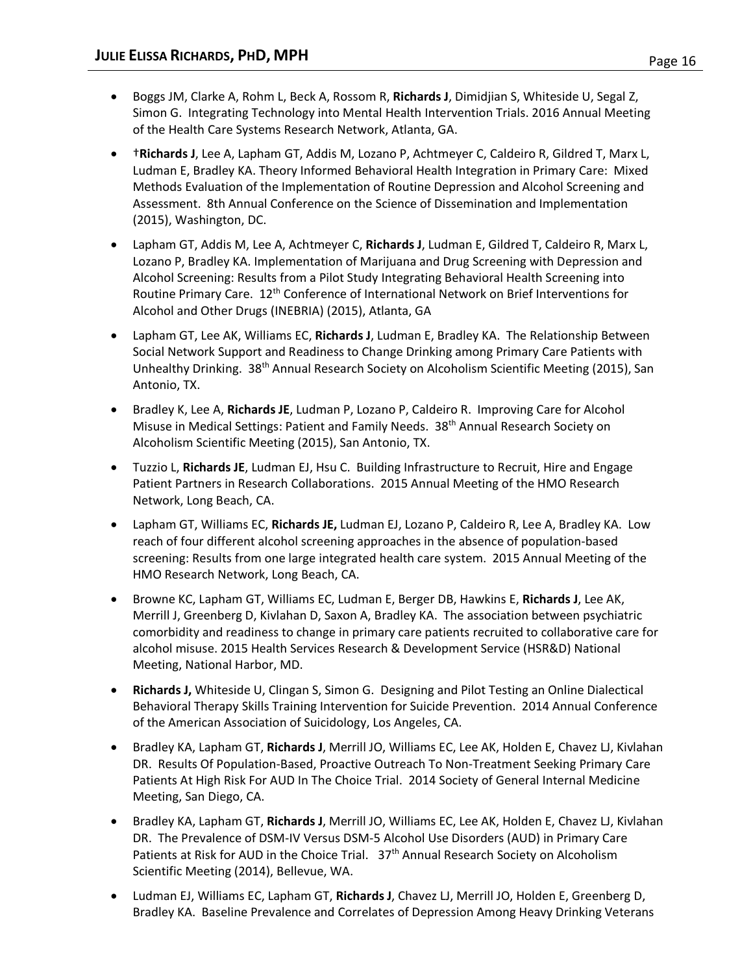- Boggs JM, Clarke A, Rohm L, Beck A, Rossom R, **Richards J**, Dimidjian S, Whiteside U, Segal Z, Simon G. Integrating Technology into Mental Health Intervention Trials. 2016 Annual Meeting of the Health Care Systems Research Network, Atlanta, GA.
- †**Richards J**, Lee A, Lapham GT, Addis M, Lozano P, Achtmeyer C, Caldeiro R, Gildred T, Marx L, Ludman E, Bradley KA. Theory Informed Behavioral Health Integration in Primary Care: Mixed Methods Evaluation of the Implementation of Routine Depression and Alcohol Screening and Assessment. 8th Annual Conference on the Science of Dissemination and Implementation (2015), Washington, DC.
- Lapham GT, Addis M, Lee A, Achtmeyer C, **Richards J**, Ludman E, Gildred T, Caldeiro R, Marx L, Lozano P, Bradley KA. Implementation of Marijuana and Drug Screening with Depression and Alcohol Screening: Results from a Pilot Study Integrating Behavioral Health Screening into Routine Primary Care. 12<sup>th</sup> Conference of International Network on Brief Interventions for Alcohol and Other Drugs (INEBRIA) (2015), Atlanta, GA
- Lapham GT, Lee AK, Williams EC, **Richards J**, Ludman E, Bradley KA. The Relationship Between Social Network Support and Readiness to Change Drinking among Primary Care Patients with Unhealthy Drinking. 38<sup>th</sup> Annual Research Society on Alcoholism Scientific Meeting (2015), San Antonio, TX.
- Bradley K, Lee A, **Richards JE**, Ludman P, Lozano P, Caldeiro R. Improving Care for Alcohol Misuse in Medical Settings: Patient and Family Needs. 38<sup>th</sup> Annual Research Society on Alcoholism Scientific Meeting (2015), San Antonio, TX.
- Tuzzio L, **Richards JE**, Ludman EJ, Hsu C. Building Infrastructure to Recruit, Hire and Engage Patient Partners in Research Collaborations. 2015 Annual Meeting of the HMO Research Network, Long Beach, CA.
- Lapham GT, Williams EC, **Richards JE,** Ludman EJ, Lozano P, Caldeiro R, Lee A, Bradley KA. Low reach of four different alcohol screening approaches in the absence of population-based screening: Results from one large integrated health care system. 2015 Annual Meeting of the HMO Research Network, Long Beach, CA.
- Browne KC, Lapham GT, Williams EC, Ludman E, Berger DB, Hawkins E, **Richards J**, Lee AK, Merrill J, Greenberg D, Kivlahan D, Saxon A, Bradley KA. The association between psychiatric comorbidity and readiness to change in primary care patients recruited to collaborative care for alcohol misuse. 2015 Health Services Research & Development Service (HSR&D) National Meeting, National Harbor, MD.
- **Richards J,** Whiteside U, Clingan S, Simon G. Designing and Pilot Testing an Online Dialectical Behavioral Therapy Skills Training Intervention for Suicide Prevention. 2014 Annual Conference of the American Association of Suicidology, Los Angeles, CA.
- Bradley KA, Lapham GT, **Richards J**, Merrill JO, Williams EC, Lee AK, Holden E, Chavez LJ, Kivlahan DR. Results Of Population-Based, Proactive Outreach To Non-Treatment Seeking Primary Care Patients At High Risk For AUD In The Choice Trial. 2014 Society of General Internal Medicine Meeting, San Diego, CA.
- Bradley KA, Lapham GT, **Richards J**, Merrill JO, Williams EC, Lee AK, Holden E, Chavez LJ, Kivlahan DR. The Prevalence of DSM-IV Versus DSM-5 Alcohol Use Disorders (AUD) in Primary Care Patients at Risk for AUD in the Choice Trial. 37<sup>th</sup> Annual Research Society on Alcoholism Scientific Meeting (2014), Bellevue, WA.
- Ludman EJ, Williams EC, Lapham GT, **Richards J**, Chavez LJ, Merrill JO, Holden E, Greenberg D, Bradley KA. Baseline Prevalence and Correlates of Depression Among Heavy Drinking Veterans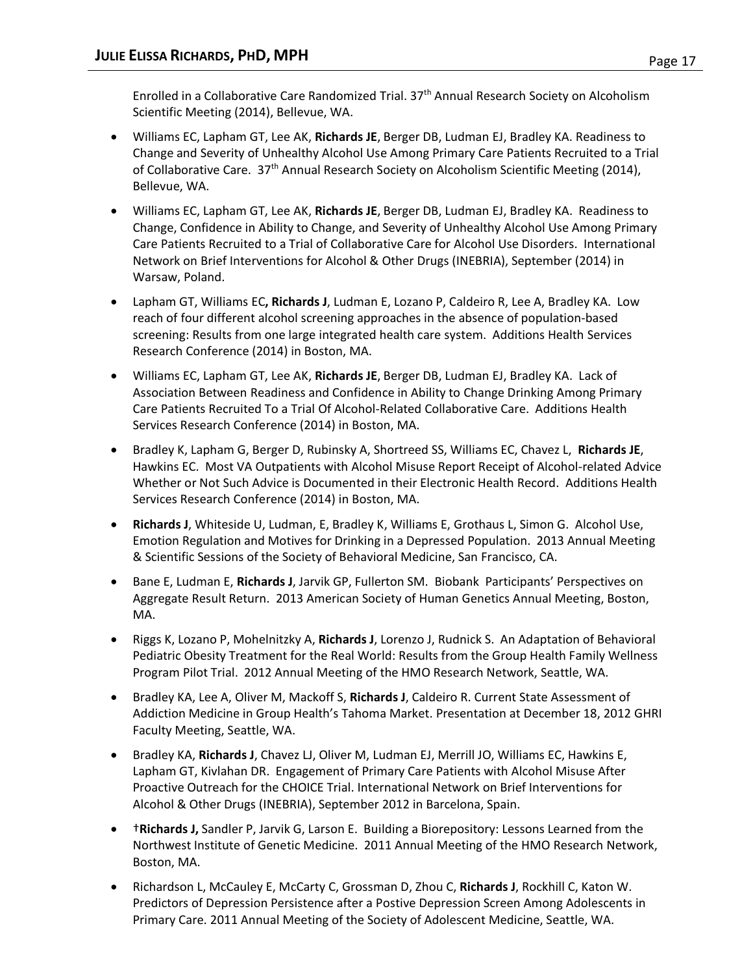Enrolled in a Collaborative Care Randomized Trial. 37<sup>th</sup> Annual Research Society on Alcoholism Scientific Meeting (2014), Bellevue, WA.

- Williams EC, Lapham GT, Lee AK, **Richards JE**, Berger DB, Ludman EJ, Bradley KA. Readiness to Change and Severity of Unhealthy Alcohol Use Among Primary Care Patients Recruited to a Trial of Collaborative Care. 37<sup>th</sup> Annual Research Society on Alcoholism Scientific Meeting (2014), Bellevue, WA.
- Williams EC, Lapham GT, Lee AK, **Richards JE**, Berger DB, Ludman EJ, Bradley KA. Readiness to Change, Confidence in Ability to Change, and Severity of Unhealthy Alcohol Use Among Primary Care Patients Recruited to a Trial of Collaborative Care for Alcohol Use Disorders. International Network on Brief Interventions for Alcohol & Other Drugs (INEBRIA), September (2014) in Warsaw, Poland.
- Lapham GT, Williams EC**, Richards J**, Ludman E, Lozano P, Caldeiro R, Lee A, Bradley KA. Low reach of four different alcohol screening approaches in the absence of population-based screening: Results from one large integrated health care system. Additions Health Services Research Conference (2014) in Boston, MA.
- Williams EC, Lapham GT, Lee AK, **Richards JE**, Berger DB, Ludman EJ, Bradley KA. Lack of Association Between Readiness and Confidence in Ability to Change Drinking Among Primary Care Patients Recruited To a Trial Of Alcohol-Related Collaborative Care. Additions Health Services Research Conference (2014) in Boston, MA.
- Bradley K, Lapham G, Berger D, Rubinsky A, Shortreed SS, Williams EC, Chavez L, **Richards JE**, Hawkins EC. Most VA Outpatients with Alcohol Misuse Report Receipt of Alcohol-related Advice Whether or Not Such Advice is Documented in their Electronic Health Record. Additions Health Services Research Conference (2014) in Boston, MA.
- **Richards J**, Whiteside U, Ludman, E, Bradley K, Williams E, Grothaus L, Simon G. Alcohol Use, Emotion Regulation and Motives for Drinking in a Depressed Population. 2013 Annual Meeting & Scientific Sessions of the Society of Behavioral Medicine, San Francisco, CA.
- Bane E, Ludman E, **Richards J**, Jarvik GP, Fullerton SM. Biobank Participants' Perspectives on Aggregate Result Return. 2013 American Society of Human Genetics Annual Meeting, Boston, MA.
- Riggs K, Lozano P, Mohelnitzky A, **Richards J**, Lorenzo J, Rudnick S. An Adaptation of Behavioral Pediatric Obesity Treatment for the Real World: Results from the Group Health Family Wellness Program Pilot Trial. 2012 Annual Meeting of the HMO Research Network, Seattle, WA.
- Bradley KA, Lee A, Oliver M, Mackoff S, **Richards J**, Caldeiro R. Current State Assessment of Addiction Medicine in Group Health's Tahoma Market. Presentation at December 18, 2012 GHRI Faculty Meeting, Seattle, WA.
- Bradley KA, **Richards J**, Chavez LJ, Oliver M, Ludman EJ, Merrill JO, Williams EC, Hawkins E, Lapham GT, Kivlahan DR. Engagement of Primary Care Patients with Alcohol Misuse After Proactive Outreach for the CHOICE Trial. International Network on Brief Interventions for Alcohol & Other Drugs (INEBRIA), September 2012 in Barcelona, Spain.
- †**Richards J,** Sandler P, Jarvik G, Larson E. Building a Biorepository: Lessons Learned from the Northwest Institute of Genetic Medicine. 2011 Annual Meeting of the HMO Research Network, Boston, MA.
- Richardson L, McCauley E, McCarty C, Grossman D, Zhou C, **Richards J**, Rockhill C, Katon W. Predictors of Depression Persistence after a Postive Depression Screen Among Adolescents in Primary Care. 2011 Annual Meeting of the Society of Adolescent Medicine, Seattle, WA.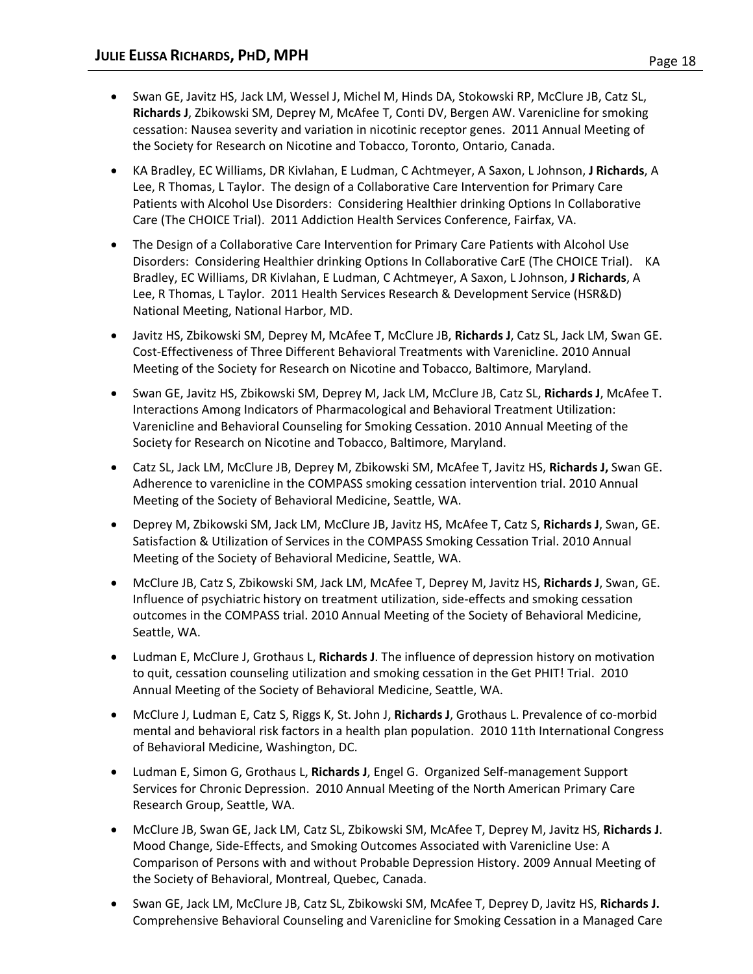- Swan GE, Javitz HS, Jack LM, Wessel J, Michel M, Hinds DA, Stokowski RP, McClure JB, Catz SL, **Richards J**, Zbikowski SM, Deprey M, McAfee T, Conti DV, Bergen AW. Varenicline for smoking cessation: Nausea severity and variation in nicotinic receptor genes. 2011 Annual Meeting of the Society for Research on Nicotine and Tobacco, Toronto, Ontario, Canada.
- KA Bradley, EC Williams, DR Kivlahan, E Ludman, C Achtmeyer, A Saxon, L Johnson, **J Richards**, A Lee, R Thomas, L Taylor. The design of a Collaborative Care Intervention for Primary Care Patients with Alcohol Use Disorders: Considering Healthier drinking Options In Collaborative Care (The CHOICE Trial). 2011 Addiction Health Services Conference, Fairfax, VA.
- The Design of a Collaborative Care Intervention for Primary Care Patients with Alcohol Use Disorders: Considering Healthier drinking Options In Collaborative CarE (The CHOICE Trial). KA Bradley, EC Williams, DR Kivlahan, E Ludman, C Achtmeyer, A Saxon, L Johnson, **J Richards**, A Lee, R Thomas, L Taylor. 2011 Health Services Research & Development Service (HSR&D) National Meeting, National Harbor, MD.
- Javitz HS, Zbikowski SM, Deprey M, McAfee T, McClure JB, **Richards J**, Catz SL, Jack LM, Swan GE. Cost-Effectiveness of Three Different Behavioral Treatments with Varenicline. 2010 Annual Meeting of the Society for Research on Nicotine and Tobacco, Baltimore, Maryland.
- Swan GE, Javitz HS, Zbikowski SM, Deprey M, Jack LM, McClure JB, Catz SL, **Richards J**, McAfee T. Interactions Among Indicators of Pharmacological and Behavioral Treatment Utilization: Varenicline and Behavioral Counseling for Smoking Cessation. 2010 Annual Meeting of the Society for Research on Nicotine and Tobacco, Baltimore, Maryland.
- Catz SL, Jack LM, McClure JB, Deprey M, Zbikowski SM, McAfee T, Javitz HS, **Richards J,** Swan GE. Adherence to varenicline in the COMPASS smoking cessation intervention trial. 2010 Annual Meeting of the Society of Behavioral Medicine, Seattle, WA.
- Deprey M, Zbikowski SM, Jack LM, McClure JB, Javitz HS, McAfee T, Catz S, **Richards J**, Swan, GE. Satisfaction & Utilization of Services in the COMPASS Smoking Cessation Trial. 2010 Annual Meeting of the Society of Behavioral Medicine, Seattle, WA.
- McClure JB, Catz S, Zbikowski SM, Jack LM, McAfee T, Deprey M, Javitz HS, **Richards J**, Swan, GE. Influence of psychiatric history on treatment utilization, side-effects and smoking cessation outcomes in the COMPASS trial. 2010 Annual Meeting of the Society of Behavioral Medicine, Seattle, WA.
- Ludman E, McClure J, Grothaus L, **Richards J**. The influence of depression history on motivation to quit, cessation counseling utilization and smoking cessation in the Get PHIT! Trial. 2010 Annual Meeting of the Society of Behavioral Medicine, Seattle, WA.
- McClure J, Ludman E, Catz S, Riggs K, St. John J, **Richards J**, Grothaus L. Prevalence of co-morbid mental and behavioral risk factors in a health plan population. 2010 11th International Congress of Behavioral Medicine, Washington, DC.
- Ludman E, Simon G, Grothaus L, **Richards J**, Engel G. Organized Self-management Support Services for Chronic Depression. 2010 Annual Meeting of the North American Primary Care Research Group, Seattle, WA.
- McClure JB, Swan GE, Jack LM, Catz SL, Zbikowski SM, McAfee T, Deprey M, Javitz HS, **Richards J**. Mood Change, Side-Effects, and Smoking Outcomes Associated with Varenicline Use: A Comparison of Persons with and without Probable Depression History. 2009 Annual Meeting of the Society of Behavioral, Montreal, Quebec, Canada.
- Swan GE, Jack LM, McClure JB, Catz SL, Zbikowski SM, McAfee T, Deprey D, Javitz HS, **Richards J.** Comprehensive Behavioral Counseling and Varenicline for Smoking Cessation in a Managed Care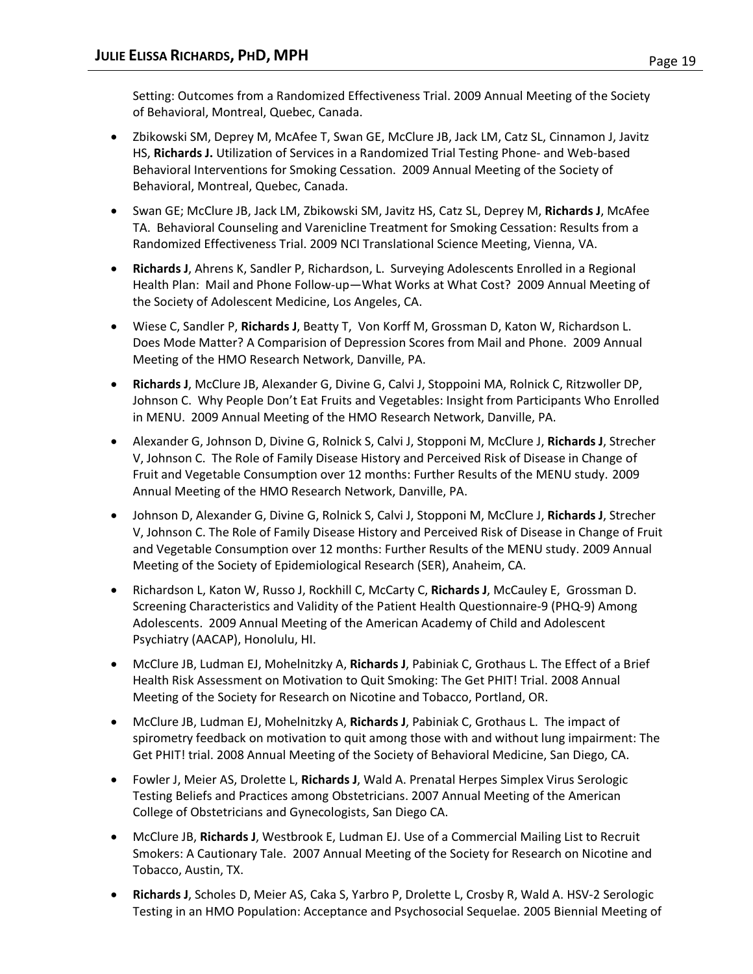Setting: Outcomes from a Randomized Effectiveness Trial. 2009 Annual Meeting of the Society of Behavioral, Montreal, Quebec, Canada.

- Zbikowski SM, Deprey M, McAfee T, Swan GE, McClure JB, Jack LM, Catz SL, Cinnamon J, Javitz HS, **Richards J.** Utilization of Services in a Randomized Trial Testing Phone- and Web-based Behavioral Interventions for Smoking Cessation. 2009 Annual Meeting of the Society of Behavioral, Montreal, Quebec, Canada.
- Swan GE; McClure JB, Jack LM, Zbikowski SM, Javitz HS, Catz SL, Deprey M, **Richards J**, McAfee TA. Behavioral Counseling and Varenicline Treatment for Smoking Cessation: Results from a Randomized Effectiveness Trial. 2009 NCI Translational Science Meeting, Vienna, VA.
- **Richards J**, Ahrens K, Sandler P, Richardson, L. Surveying Adolescents Enrolled in a Regional Health Plan: Mail and Phone Follow-up—What Works at What Cost? 2009 Annual Meeting of the Society of Adolescent Medicine, Los Angeles, CA.
- Wiese C, Sandler P, **Richards J**, Beatty T, Von Korff M, Grossman D, Katon W, Richardson L. Does Mode Matter? A Comparision of Depression Scores from Mail and Phone. 2009 Annual Meeting of the HMO Research Network, Danville, PA.
- **Richards J**, McClure JB, Alexander G, Divine G, Calvi J, Stoppoini MA, Rolnick C, Ritzwoller DP, Johnson C. Why People Don't Eat Fruits and Vegetables: Insight from Participants Who Enrolled in MENU. 2009 Annual Meeting of the HMO Research Network, Danville, PA.
- Alexander G, Johnson D, Divine G, Rolnick S, Calvi J, Stopponi M, McClure J, **Richards J**, Strecher V, Johnson C. The Role of Family Disease History and Perceived Risk of Disease in Change of Fruit and Vegetable Consumption over 12 months: Further Results of the MENU study. 2009 Annual Meeting of the HMO Research Network, Danville, PA.
- Johnson D, Alexander G, Divine G, Rolnick S, Calvi J, Stopponi M, McClure J, **Richards J**, Strecher V, Johnson C. The Role of Family Disease History and Perceived Risk of Disease in Change of Fruit and Vegetable Consumption over 12 months: Further Results of the MENU study. 2009 Annual Meeting of the Society of Epidemiological Research (SER), Anaheim, CA.
- Richardson L, Katon W, Russo J, Rockhill C, McCarty C, **Richards J**, McCauley E, Grossman D. Screening Characteristics and Validity of the Patient Health Questionnaire-9 (PHQ-9) Among Adolescents. 2009 Annual Meeting of the American Academy of Child and Adolescent Psychiatry (AACAP), Honolulu, HI.
- McClure JB, Ludman EJ, Mohelnitzky A, **Richards J**, Pabiniak C, Grothaus L. The Effect of a Brief Health Risk Assessment on Motivation to Quit Smoking: The Get PHIT! Trial. 2008 Annual Meeting of the Society for Research on Nicotine and Tobacco, Portland, OR.
- McClure JB, Ludman EJ, Mohelnitzky A, **Richards J**, Pabiniak C, Grothaus L. The impact of spirometry feedback on motivation to quit among those with and without lung impairment: The Get PHIT! trial. 2008 Annual Meeting of the Society of Behavioral Medicine, San Diego, CA.
- Fowler J, Meier AS, Drolette L, **Richards J**, Wald A. Prenatal Herpes Simplex Virus Serologic Testing Beliefs and Practices among Obstetricians. 2007 Annual Meeting of the American College of Obstetricians and Gynecologists, San Diego CA.
- McClure JB, **Richards J**, Westbrook E, Ludman EJ. Use of a Commercial Mailing List to Recruit Smokers: A Cautionary Tale. 2007 Annual Meeting of the Society for Research on Nicotine and Tobacco, Austin, TX.
- **Richards J**, Scholes D, Meier AS, Caka S, Yarbro P, Drolette L, Crosby R, Wald A. HSV-2 Serologic Testing in an HMO Population: Acceptance and Psychosocial Sequelae. 2005 Biennial Meeting of